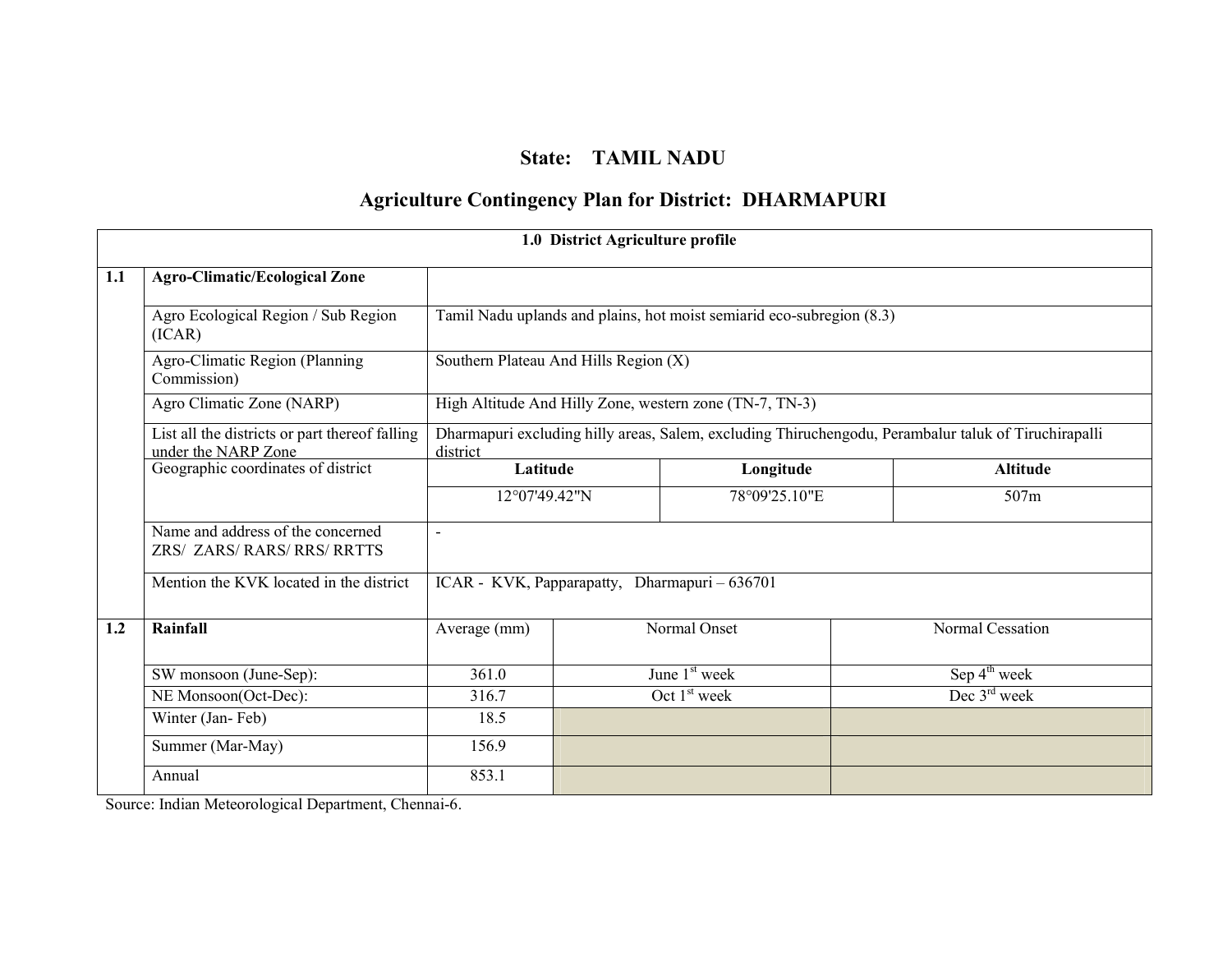# State: TAMIL NADU

# Agriculture Contingency Plan for District: DHARMAPURI

|     |                                                                       |                                                                                                                  | 1.0 District Agriculture profile                                      |                           |  |                          |  |  |
|-----|-----------------------------------------------------------------------|------------------------------------------------------------------------------------------------------------------|-----------------------------------------------------------------------|---------------------------|--|--------------------------|--|--|
| 1.1 | <b>Agro-Climatic/Ecological Zone</b>                                  |                                                                                                                  |                                                                       |                           |  |                          |  |  |
|     | Agro Ecological Region / Sub Region<br>(ICAR)                         |                                                                                                                  | Tamil Nadu uplands and plains, hot moist semiarid eco-subregion (8.3) |                           |  |                          |  |  |
|     | Agro-Climatic Region (Planning<br>Commission)                         |                                                                                                                  | Southern Plateau And Hills Region (X)                                 |                           |  |                          |  |  |
|     | Agro Climatic Zone (NARP)                                             |                                                                                                                  | High Altitude And Hilly Zone, western zone (TN-7, TN-3)               |                           |  |                          |  |  |
|     | List all the districts or part thereof falling<br>under the NARP Zone | Dharmapuri excluding hilly areas, Salem, excluding Thiruchengodu, Perambalur taluk of Tiruchirapalli<br>district |                                                                       |                           |  |                          |  |  |
|     | Geographic coordinates of district                                    | Latitude                                                                                                         |                                                                       | Longitude                 |  | <b>Altitude</b>          |  |  |
|     |                                                                       | 12°07'49.42"N                                                                                                    |                                                                       | 78°09'25.10"E             |  | 507m                     |  |  |
|     | Name and address of the concerned<br>ZRS/ ZARS/ RARS/ RRS/ RRTTS      | L,                                                                                                               |                                                                       |                           |  |                          |  |  |
|     | Mention the KVK located in the district                               | ICAR - KVK, Papparapatty, Dharmapuri - 636701                                                                    |                                                                       |                           |  |                          |  |  |
| 1.2 | Rainfall                                                              | Average (mm)                                                                                                     |                                                                       | Normal Onset              |  | Normal Cessation         |  |  |
|     | SW monsoon (June-Sep):                                                | 361.0                                                                                                            |                                                                       | June 1 <sup>st</sup> week |  | Sep $4^{\text{th}}$ week |  |  |
|     | NE Monsoon(Oct-Dec):                                                  | 316.7                                                                                                            |                                                                       | Oct 1 <sup>st</sup> week  |  | Dec $3rd$ week           |  |  |
|     | Winter (Jan-Feb)                                                      | 18.5                                                                                                             |                                                                       |                           |  |                          |  |  |
|     | Summer (Mar-May)                                                      | 156.9                                                                                                            |                                                                       |                           |  |                          |  |  |
|     | Annual                                                                | 853.1                                                                                                            |                                                                       |                           |  |                          |  |  |

Source: Indian Meteorological Department, Chennai-6.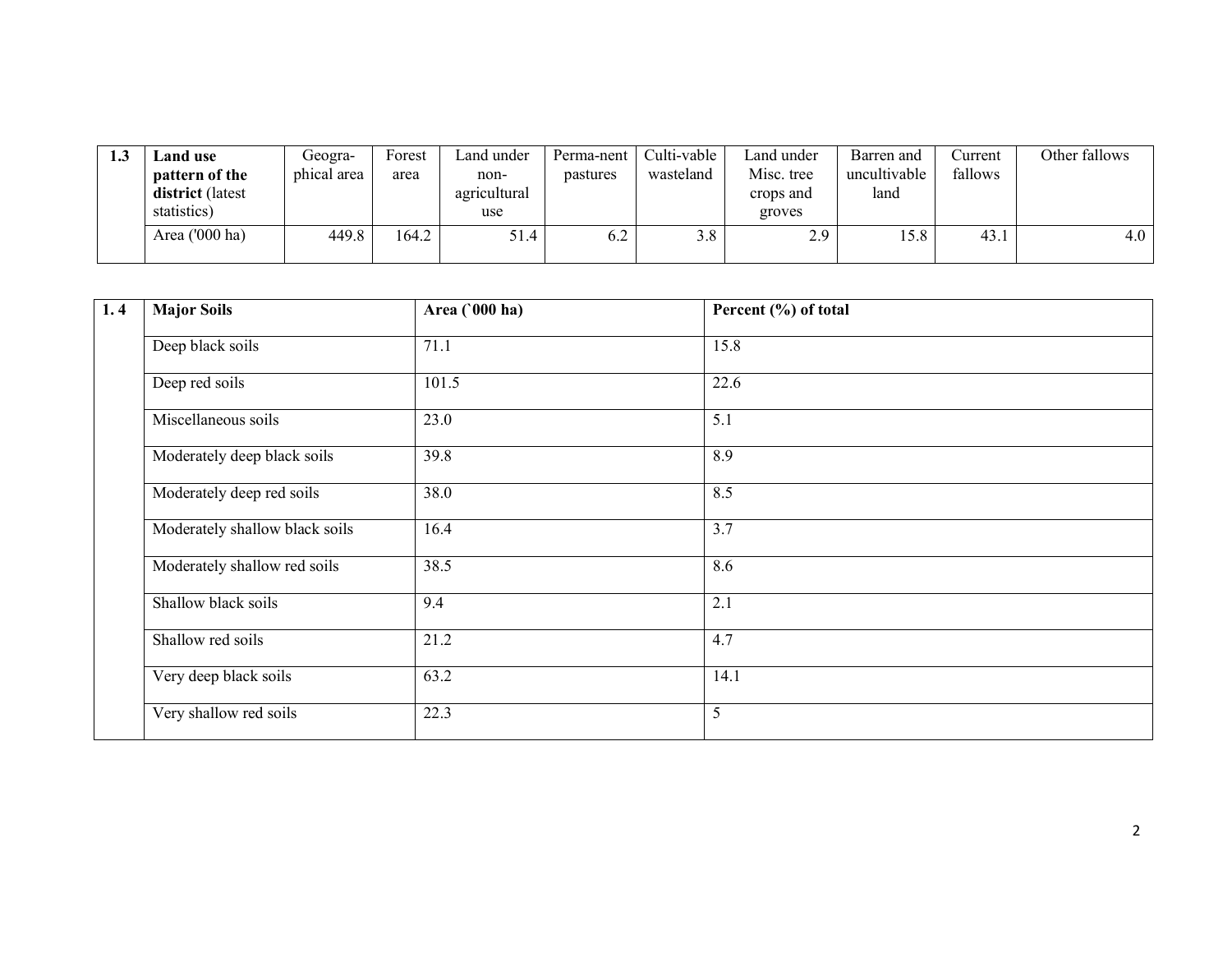| 1.3 | $\mathcal{L}% _{T}=\mathcal{L}_{T}\!\left( a,b\right) ,\ \mathcal{L}_{T}=\mathcal{L}_{T}\!\left( a,b\right) ,$ and use<br>pattern of the<br>district (latest<br>statistics) | Geogra-<br>phical area | Forest<br>area | Land under<br>non-<br>agricultural<br>use | Perma-nent<br>pastures | Culti-vable<br>wasteland | Land under<br>Misc. tree<br>crops and<br>groves | Barren and<br>uncultivable<br>land | Current<br>fallows | Other fallows |
|-----|-----------------------------------------------------------------------------------------------------------------------------------------------------------------------------|------------------------|----------------|-------------------------------------------|------------------------|--------------------------|-------------------------------------------------|------------------------------------|--------------------|---------------|
|     | Area ('000 ha)                                                                                                                                                              | 449.8                  | 164.2          | 51.4                                      | 6.2                    | 3.8                      | 2.9                                             | 15.8                               | 43.1               | 4.0           |

| 1.4 | <b>Major Soils</b>             | Area (000 ha) | Percent (%) of total |  |
|-----|--------------------------------|---------------|----------------------|--|
|     | Deep black soils               | 71.1          | 15.8                 |  |
|     | Deep red soils                 | 101.5         | 22.6                 |  |
|     | Miscellaneous soils            | 23.0          | 5.1                  |  |
|     | Moderately deep black soils    | 39.8          | 8.9                  |  |
|     | Moderately deep red soils      | 38.0          | 8.5                  |  |
|     | Moderately shallow black soils | 16.4          | 3.7                  |  |
|     | Moderately shallow red soils   | 38.5          | 8.6                  |  |
|     | Shallow black soils            | 9.4           | 2.1                  |  |
|     | Shallow red soils              | 21.2          | 4.7                  |  |
|     | Very deep black soils          | 63.2          | 14.1                 |  |
|     | Very shallow red soils         | 22.3          | 5                    |  |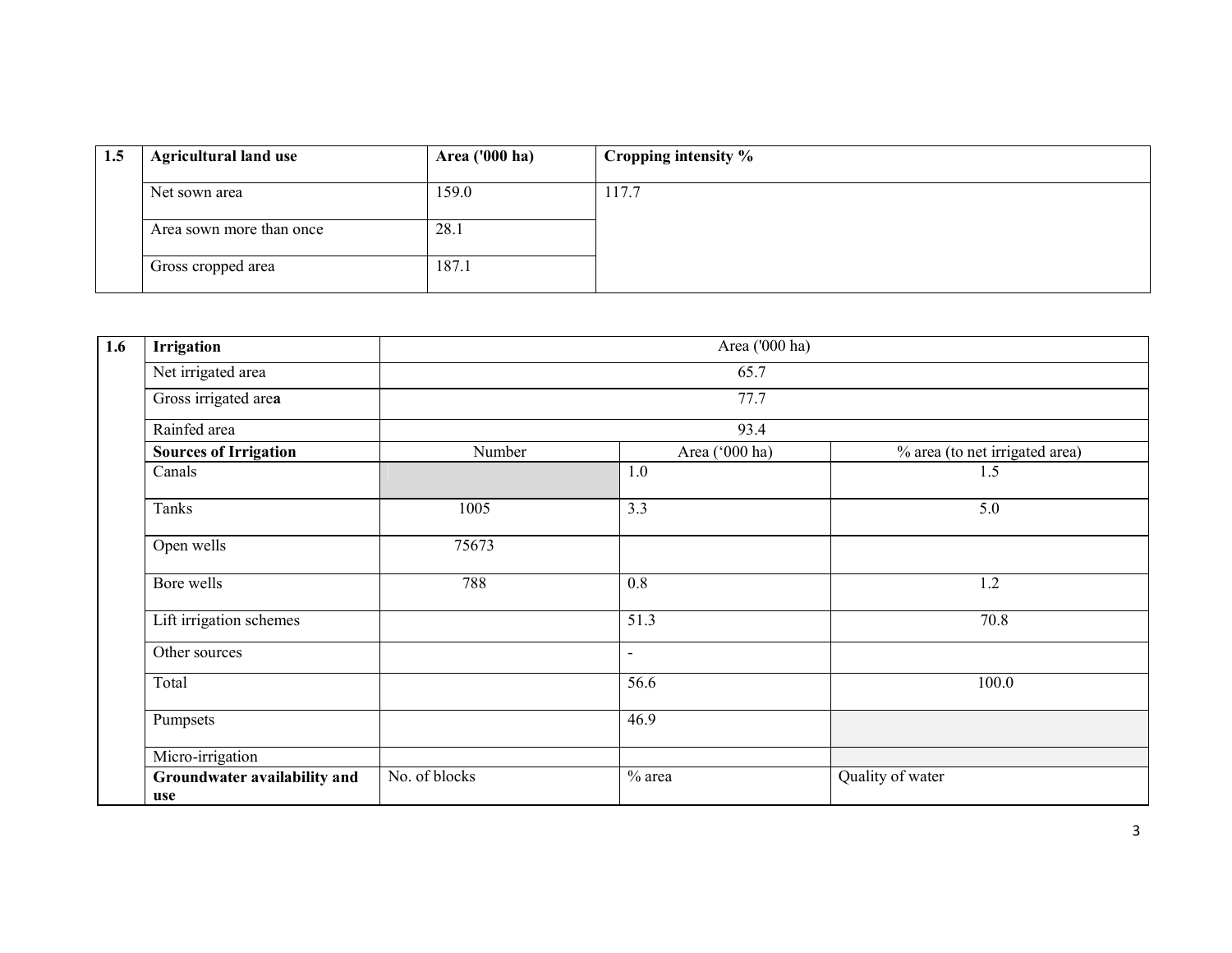| 1.5 | <b>Agricultural land use</b> | Area ('000 ha) | Cropping intensity % |
|-----|------------------------------|----------------|----------------------|
|     | Net sown area                | 159.0          | 117.7                |
|     | Area sown more than once     | 28.1           |                      |
|     | Gross cropped area           | 187.1          |                      |

| 1.6 | Area ('000 ha)<br>Irrigation        |               |                          |                                |  |  |  |
|-----|-------------------------------------|---------------|--------------------------|--------------------------------|--|--|--|
|     | Net irrigated area                  |               | 65.7                     |                                |  |  |  |
|     | Gross irrigated area                |               | 77.7                     |                                |  |  |  |
|     | Rainfed area                        |               | 93.4                     |                                |  |  |  |
|     | <b>Sources of Irrigation</b>        | Number        | Area ('000 ha)           | % area (to net irrigated area) |  |  |  |
|     | Canals                              |               | 1.0                      | 1.5                            |  |  |  |
|     | Tanks                               | 1005          | 3.3                      | 5.0                            |  |  |  |
|     | Open wells                          | 75673         |                          |                                |  |  |  |
|     | Bore wells                          | 788           | $0.8\,$                  | 1.2                            |  |  |  |
|     | Lift irrigation schemes             |               | 51.3                     | 70.8                           |  |  |  |
|     | Other sources                       |               | $\overline{\phantom{0}}$ |                                |  |  |  |
|     | Total                               |               | 56.6                     | 100.0                          |  |  |  |
|     | Pumpsets                            |               | 46.9                     |                                |  |  |  |
|     | Micro-irrigation                    |               |                          |                                |  |  |  |
|     | Groundwater availability and<br>use | No. of blocks | $%$ area                 | Quality of water               |  |  |  |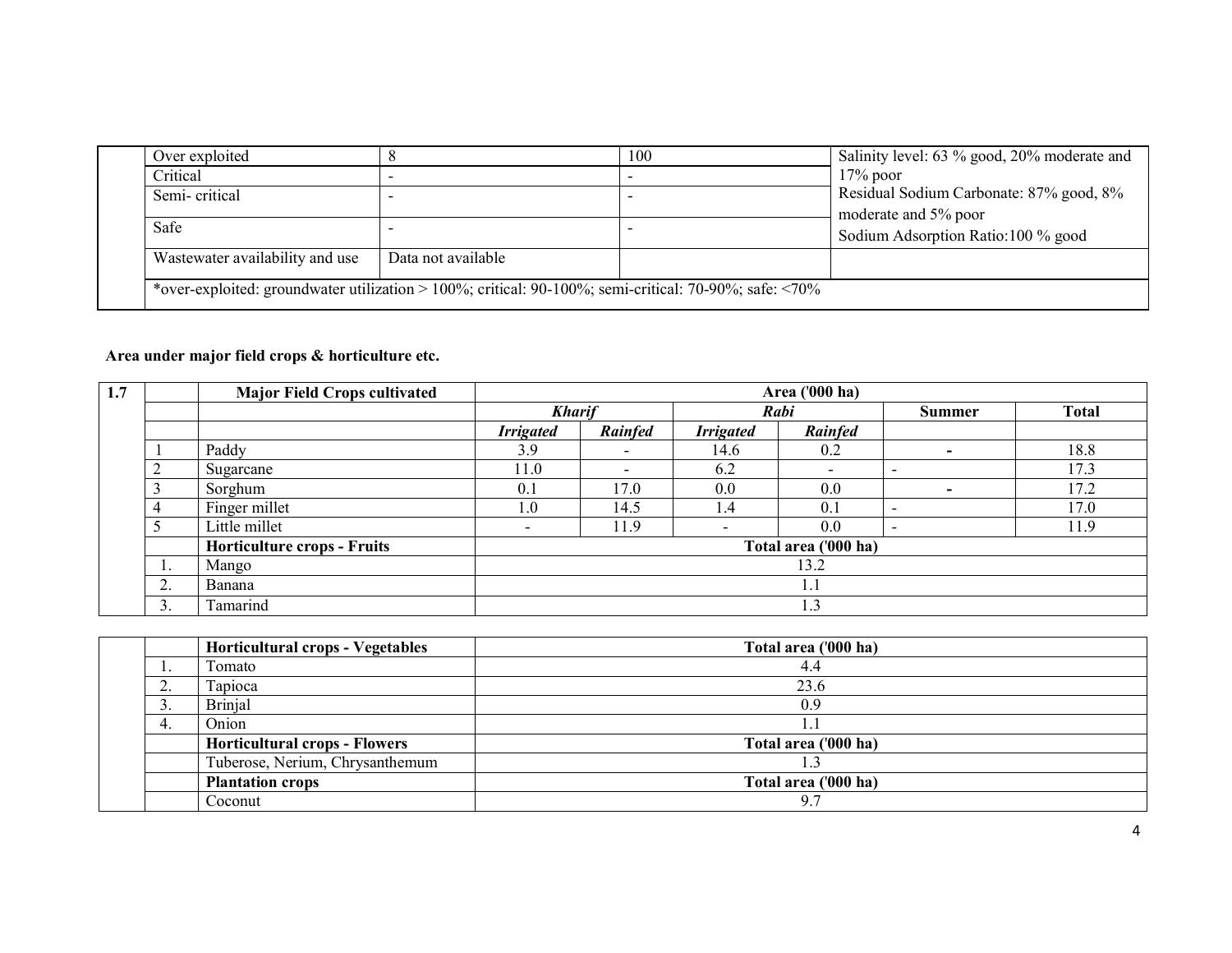|                                                                                                                   | 100 | Salinity level: 63 % good, 20% moderate and |  |  |
|-------------------------------------------------------------------------------------------------------------------|-----|---------------------------------------------|--|--|
|                                                                                                                   |     | $17\%$ poor                                 |  |  |
|                                                                                                                   |     | Residual Sodium Carbonate: 87% good, 8%     |  |  |
|                                                                                                                   |     | moderate and 5% poor                        |  |  |
|                                                                                                                   |     | Sodium Adsorption Ratio:100 % good          |  |  |
| Data not available                                                                                                |     |                                             |  |  |
| *over-exploited: groundwater utilization > $100\%$ ; critical: $90-100\%$ ; semi-critical: $70-90\%$ ; safe: <70% |     |                                             |  |  |
|                                                                                                                   |     |                                             |  |  |

### Area under major field crops & horticulture etc.

|                  | <b>Major Field Crops cultivated</b> |                          | Area ('000 ha)           |                          |         |                          |              |  |  |
|------------------|-------------------------------------|--------------------------|--------------------------|--------------------------|---------|--------------------------|--------------|--|--|
|                  |                                     | <b>Kharif</b>            |                          | Rabi                     |         | <b>Summer</b>            | <b>Total</b> |  |  |
|                  |                                     | <b>Irrigated</b>         | <b>Rainfed</b>           | <b>Irrigated</b>         | Rainfed |                          |              |  |  |
|                  | Paddy                               | 3.9                      | $\overline{\phantom{0}}$ | 14.6                     | 0.2     | $\overline{\phantom{0}}$ | 18.8         |  |  |
|                  | Sugarcane                           | 11.0                     | $\overline{\phantom{0}}$ | 6.2                      |         | $\overline{\phantom{0}}$ | 17.3         |  |  |
|                  | Sorghum                             | 0.1                      | 17.0                     | $0.0\,$                  | 0.0     | $\overline{\phantom{0}}$ | 17.2         |  |  |
|                  | Finger millet                       | 1.0                      | 14.5                     | 1.4                      | 0.1     | $\overline{\phantom{a}}$ | 17.0         |  |  |
|                  | Little millet                       | $\overline{\phantom{a}}$ | 11.9                     | $\overline{\phantom{0}}$ | 0.0     | $\overline{\phantom{0}}$ | 11.9         |  |  |
|                  | <b>Horticulture crops - Fruits</b>  |                          | Total area ('000 ha)     |                          |         |                          |              |  |  |
| 1.               | Mango                               | 13.2                     |                          |                          |         |                          |              |  |  |
| $\bigcap$<br>۷.  | Banana                              |                          |                          | 1.1                      |         |                          |              |  |  |
| $\mathfrak{I}$ . | Tamarind                            | 1.3                      |                          |                          |         |                          |              |  |  |

|     | <b>Horticultural crops - Vegetables</b> | Total area ('000 ha) |
|-----|-----------------------------------------|----------------------|
|     | Tomato                                  | 4.4                  |
| ـ ت | Tapioca                                 | 23.6                 |
| ັ.  | <b>Brinjal</b>                          | 0.9                  |
| 4.  | Onion                                   |                      |
|     | <b>Horticultural crops - Flowers</b>    | Total area ('000 ha) |
|     | Tuberose, Nerium, Chrysanthemum         |                      |
|     | <b>Plantation crops</b>                 | Total area ('000 ha) |
|     | Coconut                                 | 9.7                  |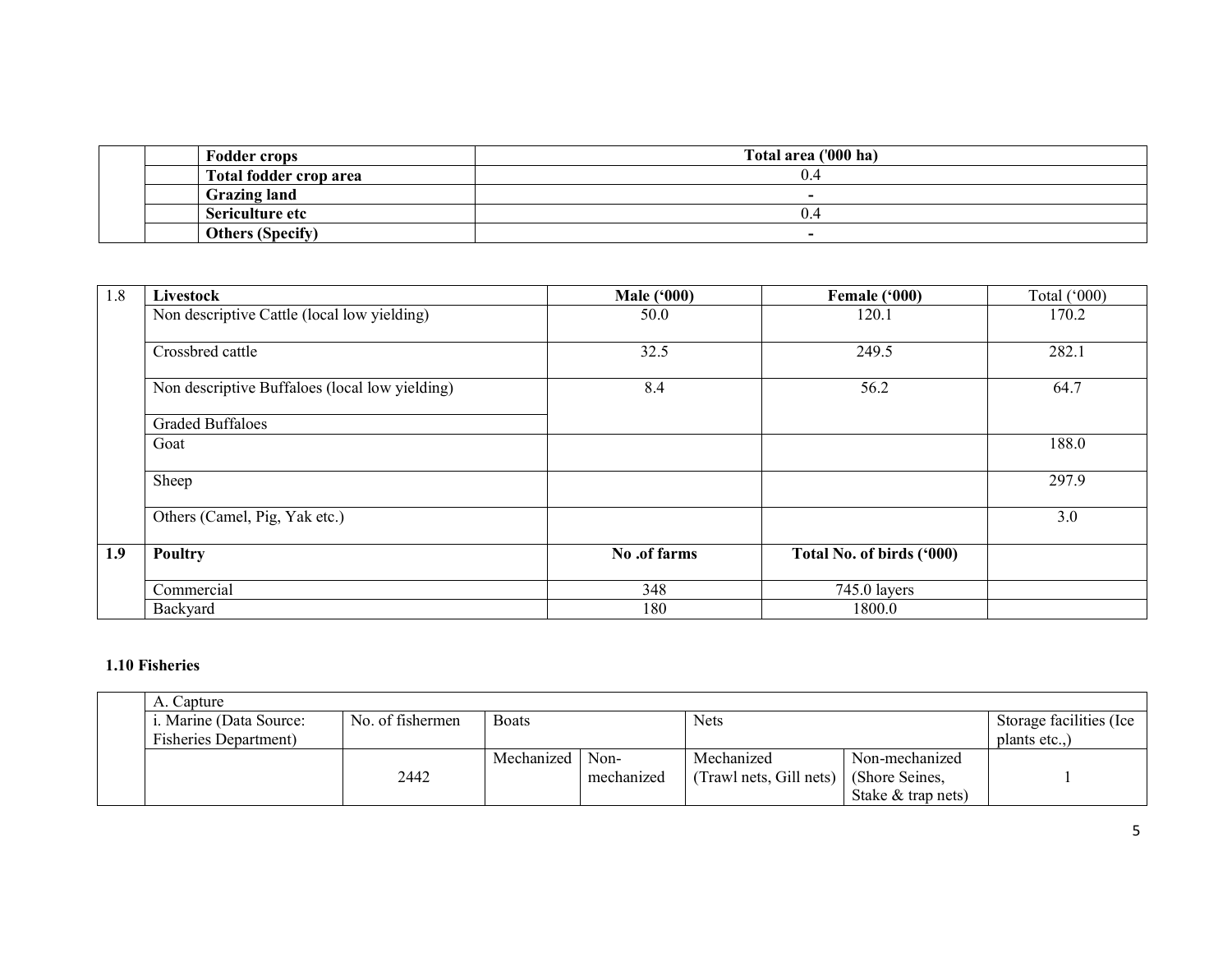| <b>Fodder crops</b>     | Total area ('000 ha)     |
|-------------------------|--------------------------|
| Total fodder crop area  | $U^2$                    |
| <b>Grazing land</b>     | $\overline{\phantom{a}}$ |
| Sericulture etc         | ∪. <sup>∠</sup>          |
| <b>Others (Specify)</b> | $\overline{\phantom{0}}$ |

| 1.8 | Livestock                                      | <b>Male ('000)</b> | Female ('000)             | Total $(^{\circ}000)$ |
|-----|------------------------------------------------|--------------------|---------------------------|-----------------------|
|     | Non descriptive Cattle (local low yielding)    | 50.0               | 120.1                     | 170.2                 |
|     | Crossbred cattle                               | 32.5               | 249.5                     | 282.1                 |
|     | Non descriptive Buffaloes (local low yielding) | 8.4                | 56.2                      | 64.7                  |
|     | <b>Graded Buffaloes</b>                        |                    |                           |                       |
|     | Goat                                           |                    |                           | 188.0                 |
|     | Sheep                                          |                    |                           | 297.9                 |
|     | Others (Camel, Pig, Yak etc.)                  |                    |                           | 3.0                   |
| 1.9 | Poultry                                        | No .of farms       | Total No. of birds ('000) |                       |
|     | Commercial                                     | 348                | 745.0 layers              |                       |
|     | Backyard                                       | 180                | 1800.0                    |                       |

#### 1.10 Fisheries

| A. Capture                    |                  |              |            |                         |                      |                          |  |
|-------------------------------|------------------|--------------|------------|-------------------------|----------------------|--------------------------|--|
| i. Marine (Data Source:       | No. of fishermen | <b>Boats</b> |            | <b>Nets</b>             |                      | Storage facilities (Ice) |  |
| <b>Fisheries Department</b> ) |                  |              |            |                         |                      | plants etc)              |  |
|                               |                  | Mechanized   | Non-       | Mechanized              | Non-mechanized       |                          |  |
|                               | 2442             |              | mechanized | (Trawl nets, Gill nets) | (Shore Seines,       |                          |  |
|                               |                  |              |            |                         | Stake $&$ trap nets) |                          |  |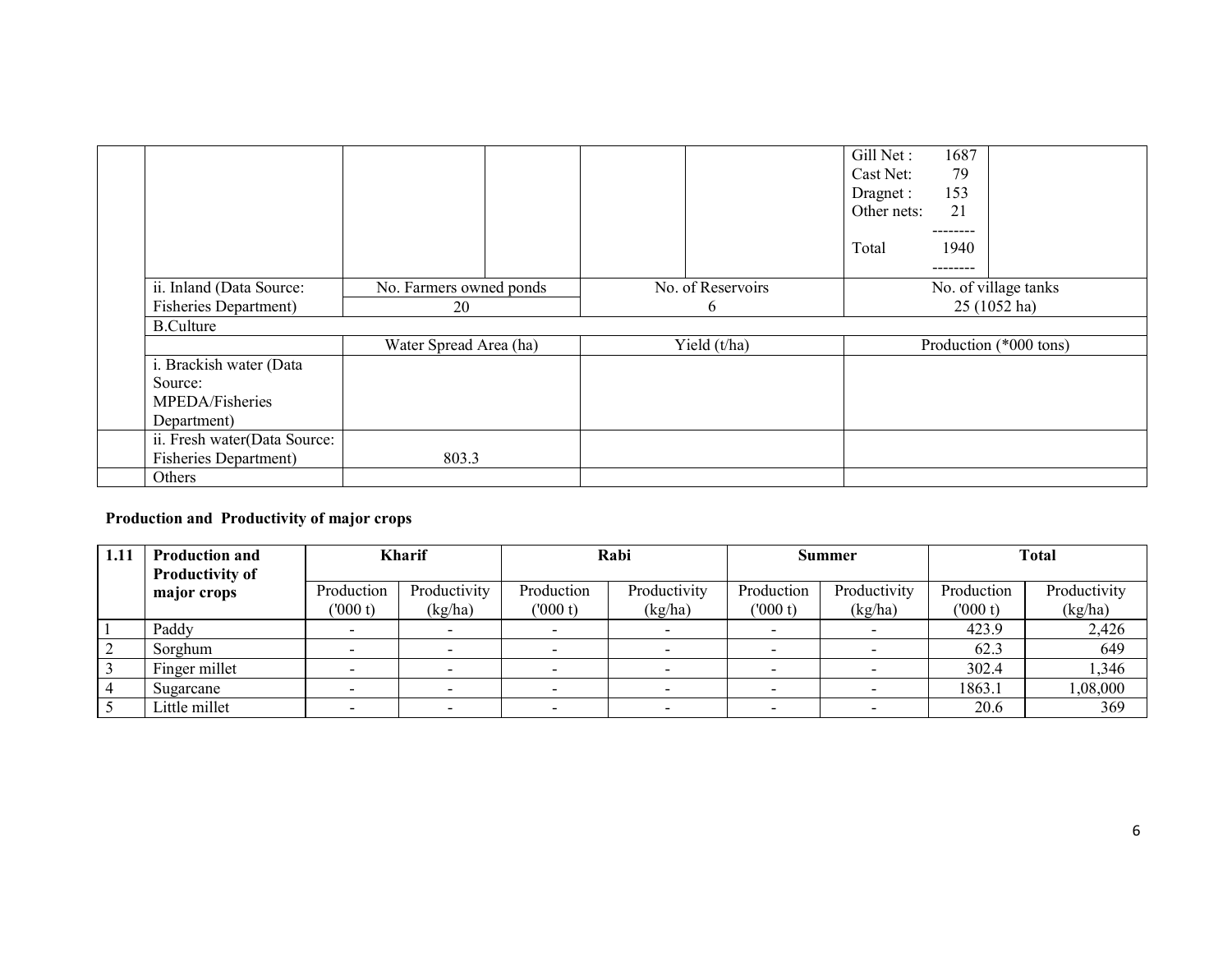|                              |                         |                   | Gill Net:<br>1687<br>79<br>Cast Net:<br>153<br>Dragnet:<br>Other nets:<br>21<br>--------<br>Total<br>1940<br>-------- |  |
|------------------------------|-------------------------|-------------------|-----------------------------------------------------------------------------------------------------------------------|--|
| ii. Inland (Data Source:     | No. Farmers owned ponds | No. of Reservoirs | No. of village tanks                                                                                                  |  |
| <b>Fisheries Department)</b> | 20                      | 6                 | 25 (1052 ha)                                                                                                          |  |
| <b>B.Culture</b>             |                         |                   |                                                                                                                       |  |
|                              | Water Spread Area (ha)  | Yield $(t/ha)$    | Production (*000 tons)                                                                                                |  |
| i. Brackish water (Data      |                         |                   |                                                                                                                       |  |
| Source:                      |                         |                   |                                                                                                                       |  |
| MPEDA/Fisheries              |                         |                   |                                                                                                                       |  |
| Department)                  |                         |                   |                                                                                                                       |  |
| ii. Fresh water(Data Source: |                         |                   |                                                                                                                       |  |
| <b>Fisheries Department)</b> | 803.3                   |                   |                                                                                                                       |  |
| Others                       |                         |                   |                                                                                                                       |  |

### Production and Productivity of major crops

| 1.11 | <b>Production and</b><br><b>Productivity of</b> |            | Kharif       |            | Rabi         |            | <b>Summer</b> |            | <b>Total</b> |
|------|-------------------------------------------------|------------|--------------|------------|--------------|------------|---------------|------------|--------------|
|      | major crops                                     | Production | Productivity | Production | Productivity | Production | Productivity  | Production | Productivity |
|      |                                                 | (000 t)    | (kg/ha)      | (000 t)    | (kg/ha)      | (000 t)    | (kg/ha)       | (000 t)    | (kg/ha)      |
|      | Paddy                                           |            |              |            |              |            |               | 423.9      | 2,426        |
|      | Sorghum                                         |            |              |            |              |            |               | 62.3       | 649          |
|      | Finger millet                                   |            |              |            |              |            |               | 302.4      | 1,346        |
|      | Sugarcane                                       |            |              |            |              |            |               | 1863.1     | 000,80,1     |
|      | Little millet                                   |            |              |            |              |            |               | 20.6       | 369          |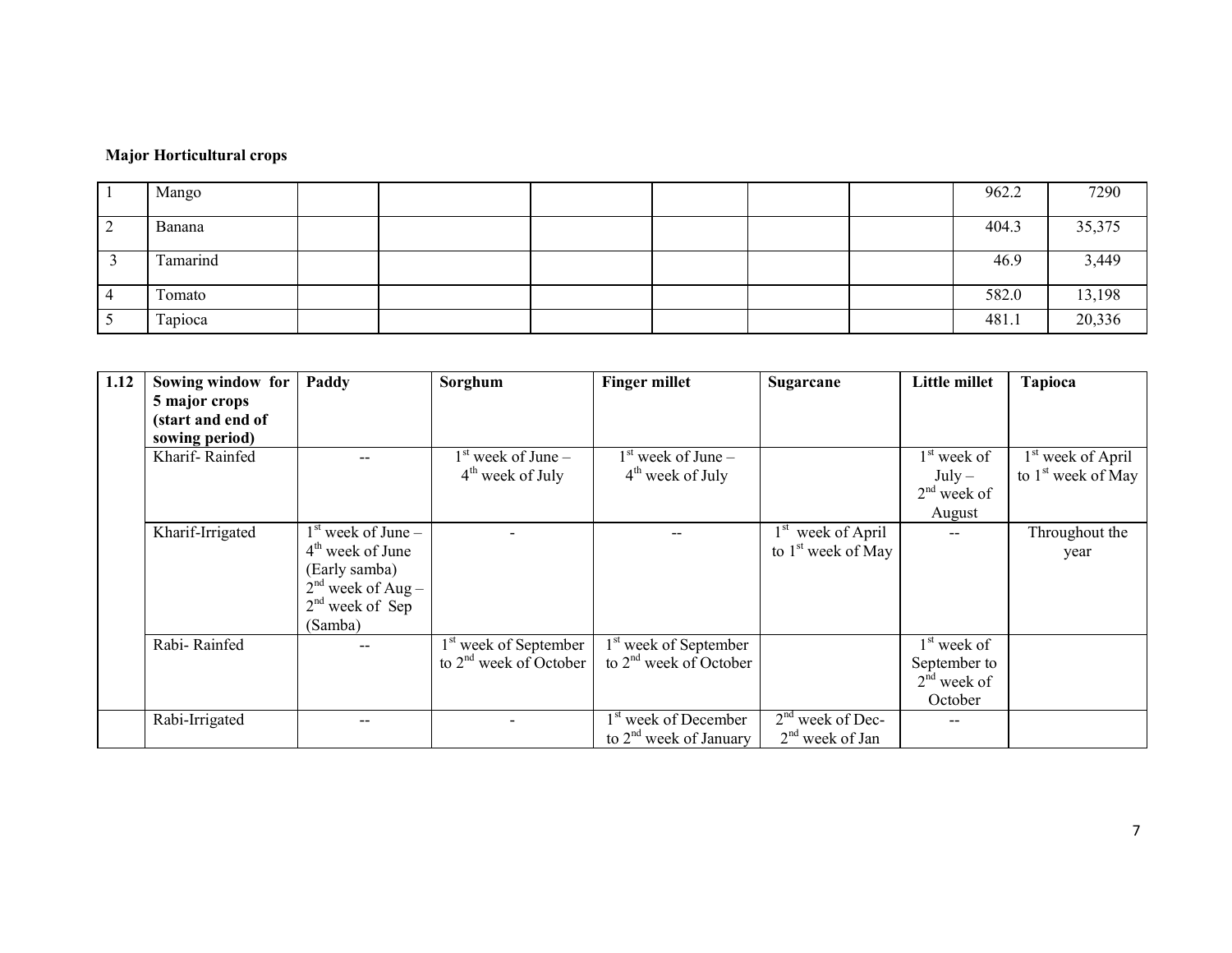#### Major Horticultural crops

| Mango    |  |  |  | 962.2 | 7290   |
|----------|--|--|--|-------|--------|
| Banana   |  |  |  | 404.3 | 35,375 |
| Tamarind |  |  |  | 46.9  | 3,449  |
| Tomato   |  |  |  | 582.0 | 13,198 |
| Tapioca  |  |  |  | 481.1 | 20,336 |

| 1.12 | Sowing window for | Paddy                | Sorghum                           | <b>Finger millet</b>              | Sugarcane                      | Little millet | <b>Tapioca</b>                |
|------|-------------------|----------------------|-----------------------------------|-----------------------------------|--------------------------------|---------------|-------------------------------|
|      | 5 major crops     |                      |                                   |                                   |                                |               |                               |
|      | (start and end of |                      |                                   |                                   |                                |               |                               |
|      | sowing period)    |                      |                                   |                                   |                                |               |                               |
|      | Kharif-Rainfed    |                      | $1st$ week of June –              | $1st$ week of June –              |                                | $1st$ week of | 1 <sup>st</sup> week of April |
|      |                   |                      | $4th$ week of July                | $4th$ week of July                |                                | $July-$       | to $1st$ week of May          |
|      |                   |                      |                                   |                                   |                                | $2nd$ week of |                               |
|      |                   |                      |                                   |                                   |                                | August        |                               |
|      | Kharif-Irrigated  | $1st$ week of June – |                                   |                                   | week of April<br>$1^{st}$      |               | Throughout the                |
|      |                   | $4th$ week of June   |                                   |                                   | to 1 <sup>st</sup> week of May |               | year                          |
|      |                   | (Early samba)        |                                   |                                   |                                |               |                               |
|      |                   | $2nd$ week of Aug –  |                                   |                                   |                                |               |                               |
|      |                   | $2nd$ week of Sep    |                                   |                                   |                                |               |                               |
|      |                   | (Samba)              |                                   |                                   |                                |               |                               |
|      | Rabi-Rainfed      |                      | 1 <sup>st</sup> week of September | 1 <sup>st</sup> week of September |                                | $1st$ week of |                               |
|      |                   |                      | to $2nd$ week of October          | to $2nd$ week of October          |                                | September to  |                               |
|      |                   |                      |                                   |                                   |                                | $2nd$ week of |                               |
|      |                   |                      |                                   |                                   |                                | October       |                               |
|      | Rabi-Irrigated    |                      |                                   | 1 <sup>st</sup> week of December  | $2nd$ week of Dec-             |               |                               |
|      |                   |                      |                                   | to $2nd$ week of January          | $2nd$ week of Jan              |               |                               |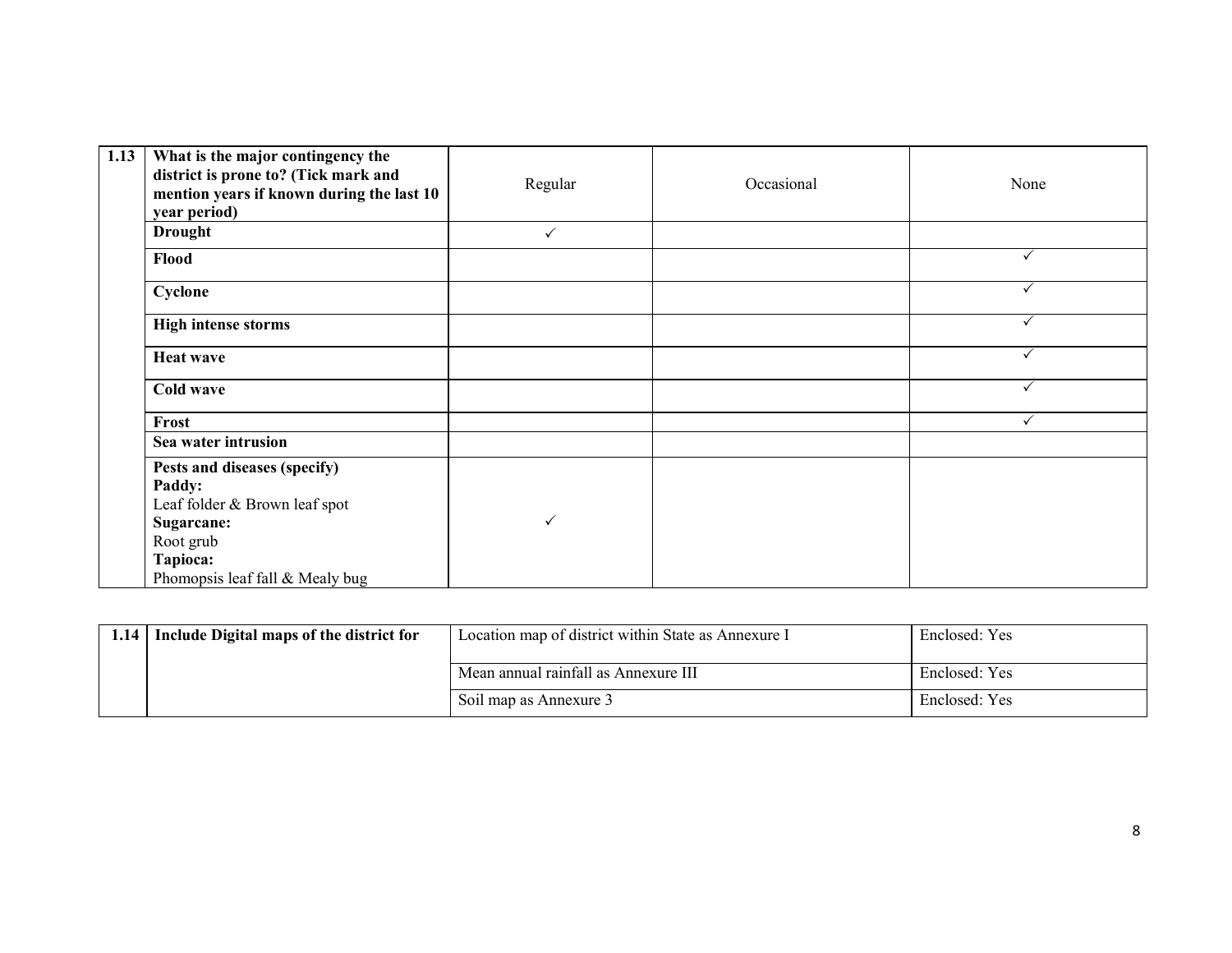| 1.13 | What is the major contingency the<br>district is prone to? (Tick mark and<br>mention years if known during the last 10<br>year period)            | Regular      | Occasional | None         |
|------|---------------------------------------------------------------------------------------------------------------------------------------------------|--------------|------------|--------------|
|      | <b>Drought</b>                                                                                                                                    | $\checkmark$ |            |              |
|      | Flood                                                                                                                                             |              |            | ✓            |
|      | Cyclone                                                                                                                                           |              |            | ✓            |
|      | <b>High intense storms</b>                                                                                                                        |              |            | ✓            |
|      | <b>Heat wave</b>                                                                                                                                  |              |            | ✓            |
|      | Cold wave                                                                                                                                         |              |            | $\checkmark$ |
|      | Frost                                                                                                                                             |              |            | ✓            |
|      | Sea water intrusion                                                                                                                               |              |            |              |
|      | Pests and diseases (specify)<br>Paddy:<br>Leaf folder & Brown leaf spot<br>Sugarcane:<br>Root grub<br>Tapioca:<br>Phomopsis leaf fall & Mealy bug | $\checkmark$ |            |              |

| 1.14 Include Digital maps of the district for | Location map of district within State as Annexure I | Enclosed: Yes |
|-----------------------------------------------|-----------------------------------------------------|---------------|
|                                               | Mean annual rainfall as Annexure III                | Enclosed: Yes |
|                                               | Soil map as Annexure 3                              | Enclosed: Yes |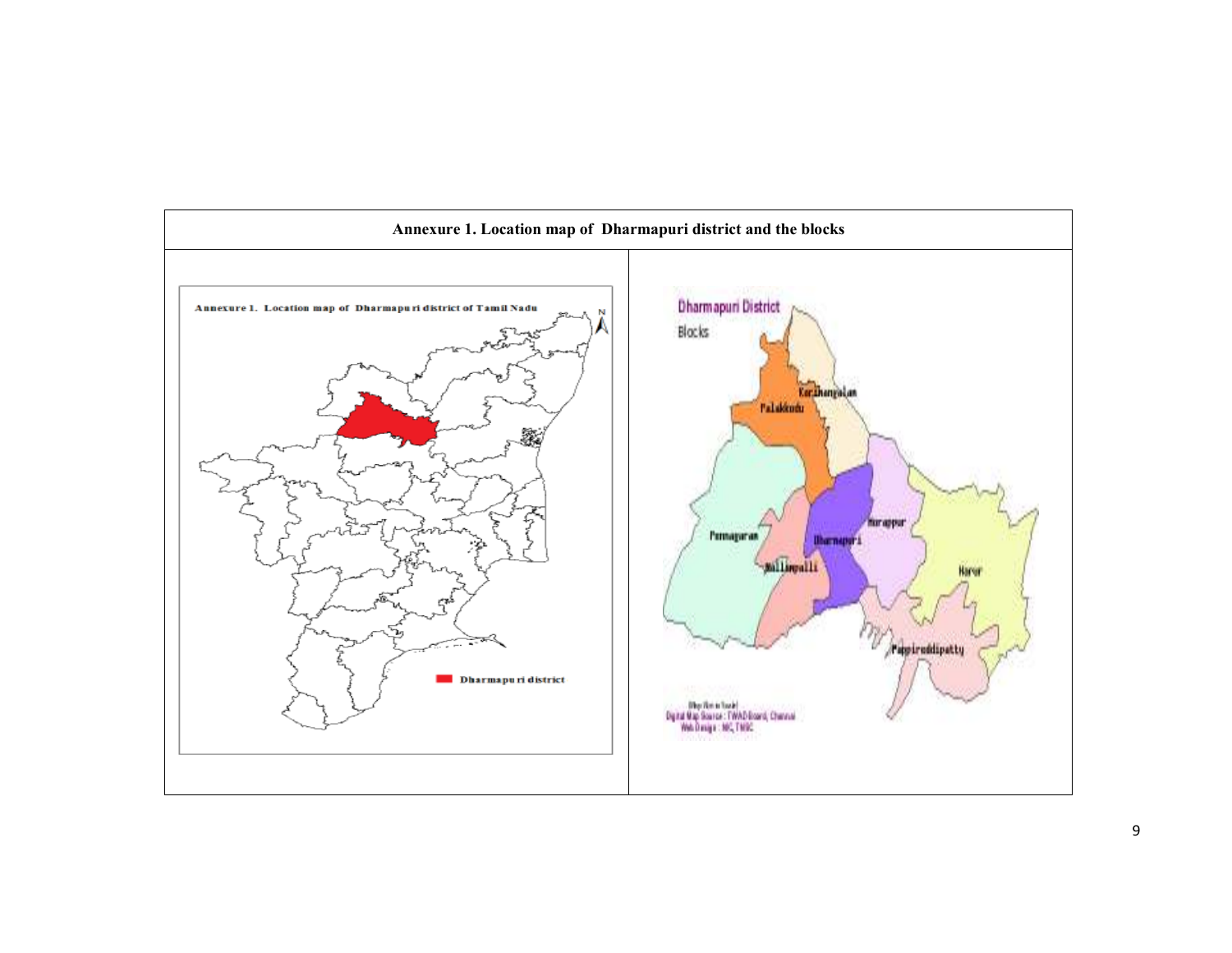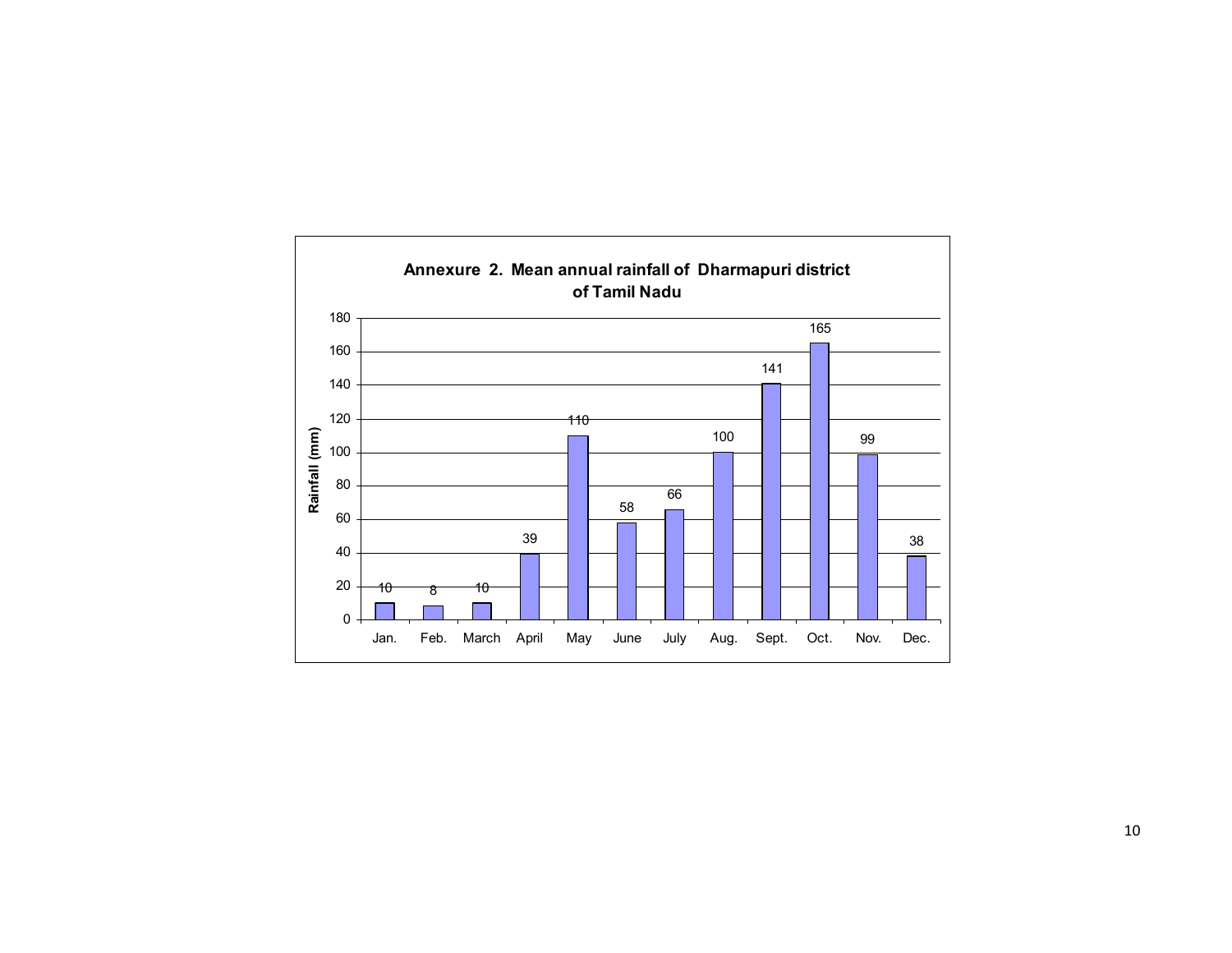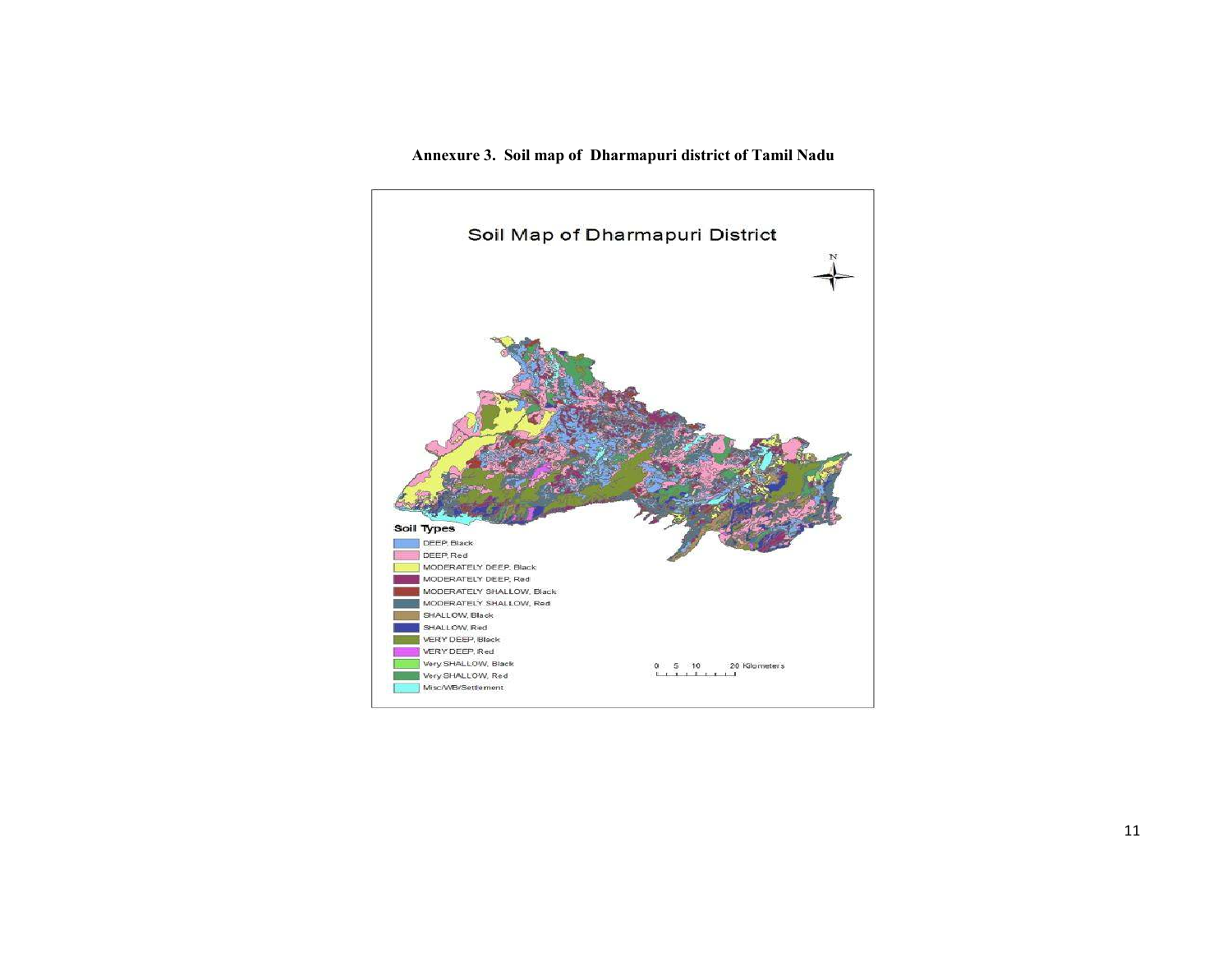#### Annexure 3. Soil map of Dharmapuri district of Tamil Nadu

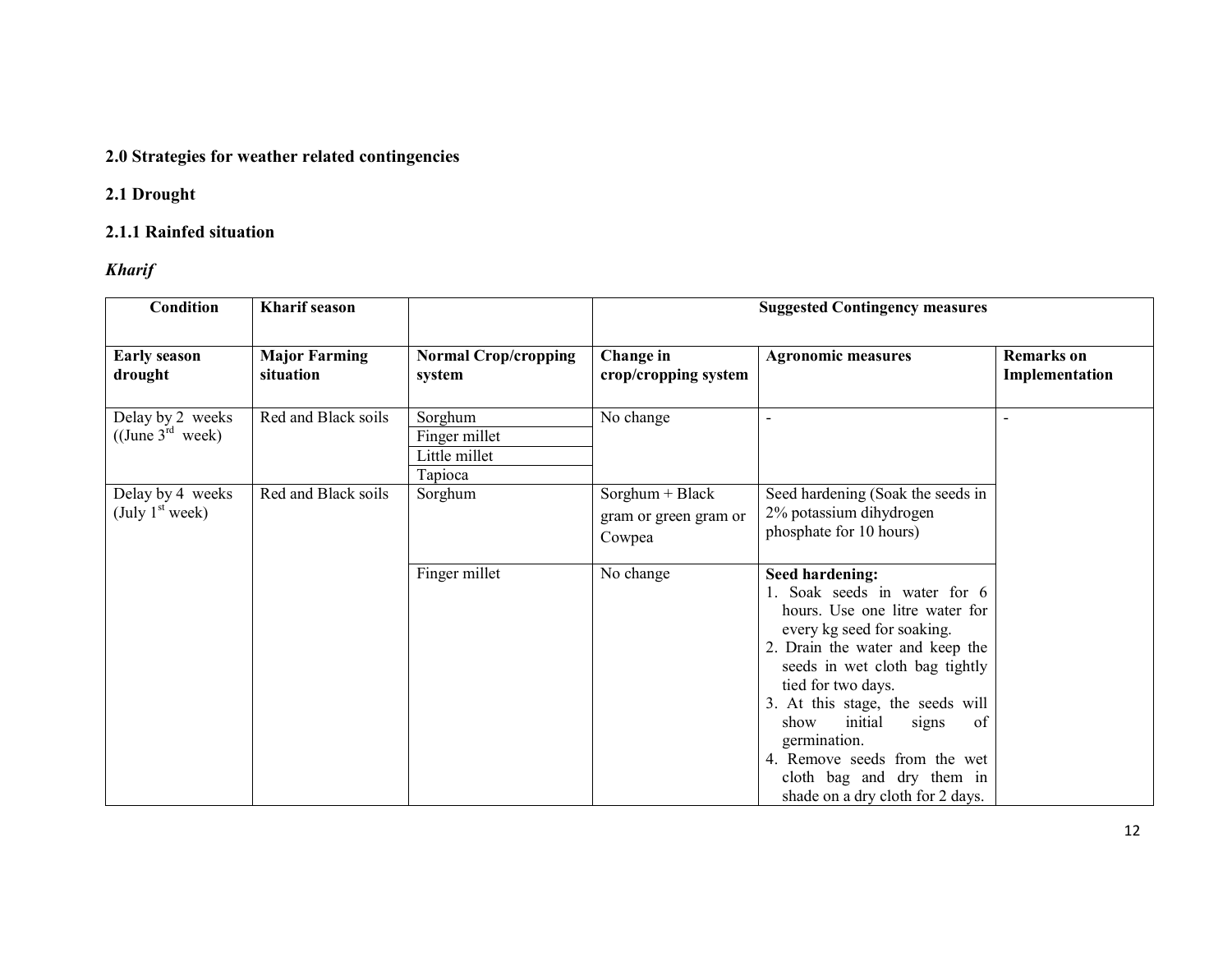## 2.0 Strategies for weather related contingencies

## 2.1 Drought

## 2.1.1 Rainfed situation

Kharif

| <b>Condition</b>                                                 | <b>Kharif</b> season              |                                                      | <b>Suggested Contingency measures</b>                |                                                                                                                                                                                                                                                                                                                                                                                                          |                                     |  |
|------------------------------------------------------------------|-----------------------------------|------------------------------------------------------|------------------------------------------------------|----------------------------------------------------------------------------------------------------------------------------------------------------------------------------------------------------------------------------------------------------------------------------------------------------------------------------------------------------------------------------------------------------------|-------------------------------------|--|
| <b>Early season</b><br>drought                                   | <b>Major Farming</b><br>situation | <b>Normal Crop/cropping</b><br>system                | Change in<br>crop/cropping system                    | <b>Agronomic measures</b>                                                                                                                                                                                                                                                                                                                                                                                | <b>Remarks</b> on<br>Implementation |  |
| Delay by 2 weeks<br>$((\text{June } 3^{\text{rd}} \text{ week})$ | Red and Black soils               | Sorghum<br>Finger millet<br>Little millet<br>Tapioca | No change                                            | $\overline{\phantom{0}}$                                                                                                                                                                                                                                                                                                                                                                                 |                                     |  |
| Delay by 4 weeks<br>(July $1st$ week)                            | Red and Black soils               | Sorghum                                              | $Sorghum + Black$<br>gram or green gram or<br>Cowpea | Seed hardening (Soak the seeds in<br>2% potassium dihydrogen<br>phosphate for 10 hours)                                                                                                                                                                                                                                                                                                                  |                                     |  |
|                                                                  |                                   | Finger millet                                        | No change                                            | <b>Seed hardening:</b><br>1. Soak seeds in water for 6<br>hours. Use one litre water for<br>every kg seed for soaking.<br>2. Drain the water and keep the<br>seeds in wet cloth bag tightly<br>tied for two days.<br>3. At this stage, the seeds will<br>initial<br>of<br>show<br>signs<br>germination.<br>4. Remove seeds from the wet<br>cloth bag and dry them in<br>shade on a dry cloth for 2 days. |                                     |  |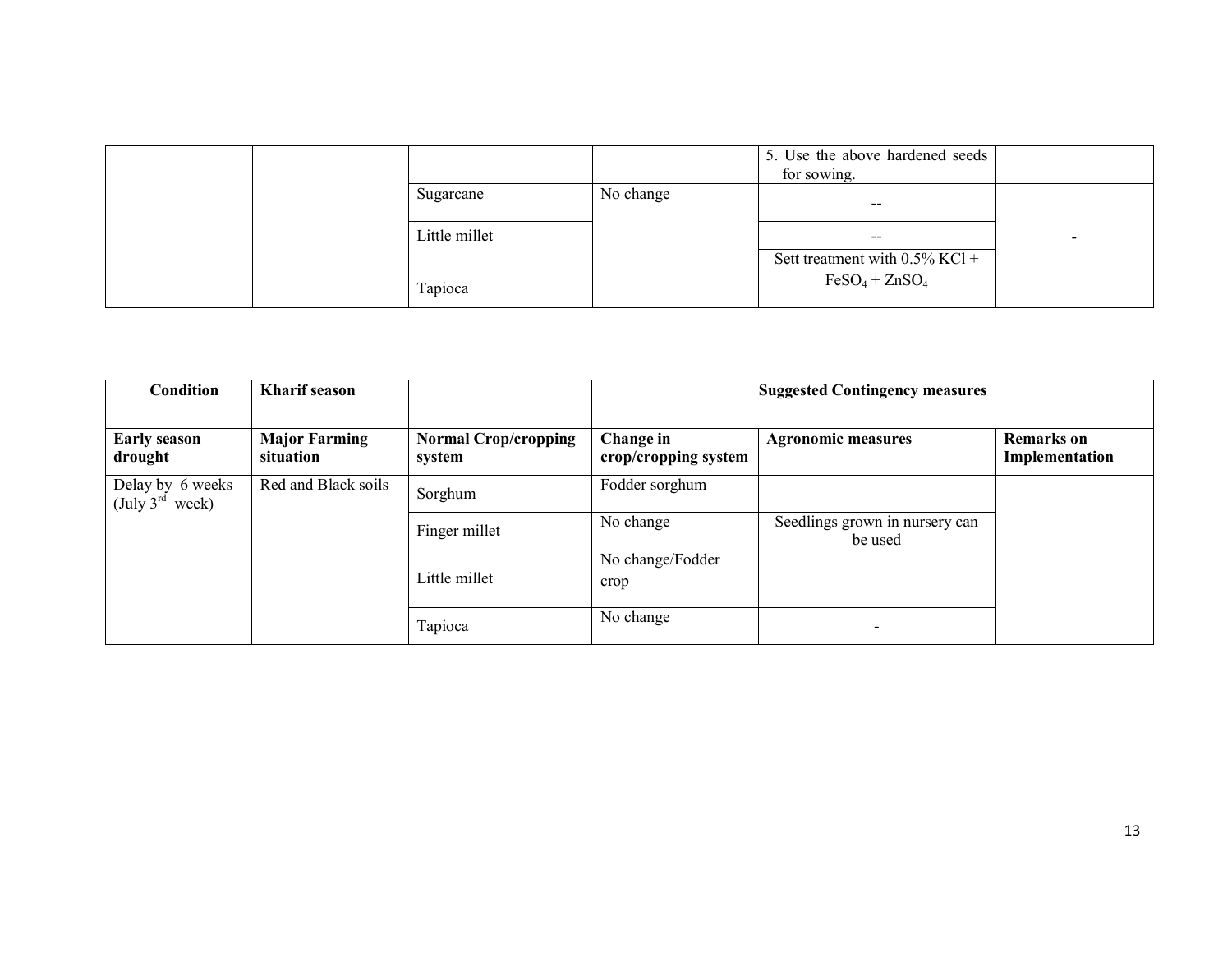|  |               |           | 5. Use the above hardened seeds<br>for sowing. |   |
|--|---------------|-----------|------------------------------------------------|---|
|  | Sugarcane     | No change | --                                             |   |
|  | Little millet |           | --                                             | - |
|  |               |           | Sett treatment with $0.5\%$ KCl +              |   |
|  | Tapioca       |           | $FeSO_4 + ZnSO_4$                              |   |

| <b>Condition</b>                         | <b>Kharif</b> season              |                                       | <b>Suggested Contingency measures</b> |                                           |                                     |
|------------------------------------------|-----------------------------------|---------------------------------------|---------------------------------------|-------------------------------------------|-------------------------------------|
| <b>Early season</b><br>drought           | <b>Major Farming</b><br>situation | <b>Normal Crop/cropping</b><br>system | Change in<br>crop/cropping system     | <b>Agronomic measures</b>                 | <b>Remarks</b> on<br>Implementation |
| Delay by 6 weeks<br>(July $3^{rd}$ week) | Red and Black soils               | Sorghum                               | Fodder sorghum                        |                                           |                                     |
|                                          |                                   | Finger millet                         | No change                             | Seedlings grown in nursery can<br>be used |                                     |
|                                          |                                   | Little millet                         | No change/Fodder<br>crop              |                                           |                                     |
|                                          |                                   | Tapioca                               | No change                             |                                           |                                     |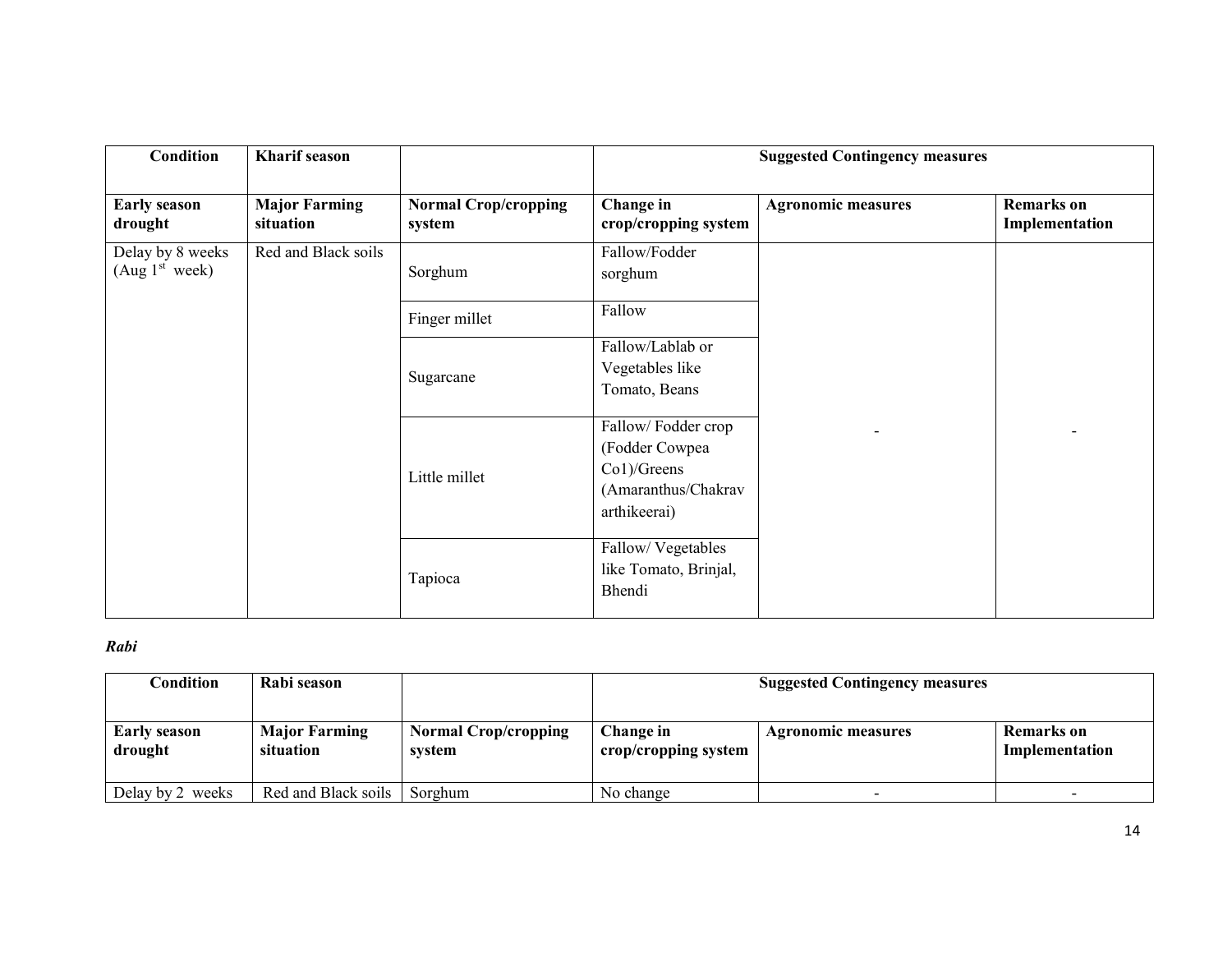| <b>Condition</b>                               | <b>Kharif</b> season              |                                       |                                                                                               | <b>Suggested Contingency measures</b> |                                     |
|------------------------------------------------|-----------------------------------|---------------------------------------|-----------------------------------------------------------------------------------------------|---------------------------------------|-------------------------------------|
| <b>Early season</b><br>drought                 | <b>Major Farming</b><br>situation | <b>Normal Crop/cropping</b><br>system | Change in<br>crop/cropping system                                                             | <b>Agronomic measures</b>             | <b>Remarks</b> on<br>Implementation |
| Delay by 8 weeks<br>(Aug 1 <sup>st</sup> week) | Red and Black soils               | Sorghum                               | Fallow/Fodder<br>sorghum                                                                      |                                       |                                     |
|                                                |                                   | Finger millet                         | Fallow                                                                                        |                                       |                                     |
|                                                |                                   | Sugarcane                             | Fallow/Lablab or<br>Vegetables like<br>Tomato, Beans                                          |                                       |                                     |
|                                                |                                   | Little millet                         | Fallow/Fodder crop<br>(Fodder Cowpea<br>$Co1$ )/Greens<br>(Amaranthus/Chakrav<br>arthikeerai) |                                       |                                     |
|                                                |                                   | Tapioca                               | Fallow/Vegetables<br>like Tomato, Brinjal,<br>Bhendi                                          |                                       |                                     |

### Rabi

| Condition               | Rabi season                       |                                       | <b>Suggested Contingency measures</b> |                           |                              |
|-------------------------|-----------------------------------|---------------------------------------|---------------------------------------|---------------------------|------------------------------|
| Early season<br>drought | <b>Major Farming</b><br>situation | <b>Normal Crop/cropping</b><br>svstem | Change in<br>crop/cropping system     | <b>Agronomic measures</b> | Remarks on<br>Implementation |
| Delay by 2 weeks        | Red and Black soils               | Sorghum                               | No change                             |                           |                              |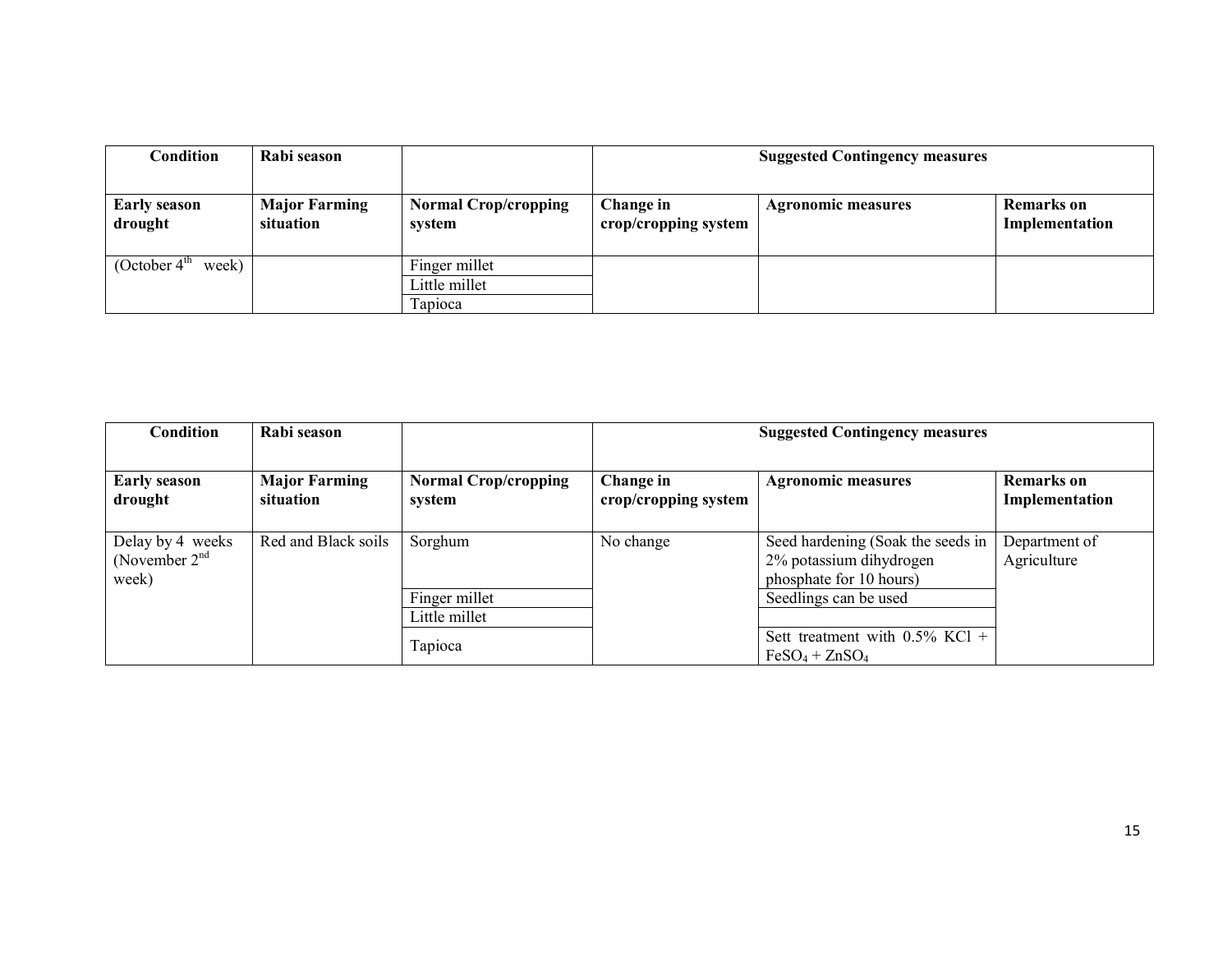| Condition                      | Rabi season                       |                                       | <b>Suggested Contingency measures</b> |                           |                                     |  |
|--------------------------------|-----------------------------------|---------------------------------------|---------------------------------------|---------------------------|-------------------------------------|--|
| <b>Early season</b><br>drought | <b>Major Farming</b><br>situation | <b>Normal Crop/cropping</b><br>svstem | Change in<br>crop/cropping system     | <b>Agronomic measures</b> | <b>Remarks</b> on<br>Implementation |  |
| week)<br>(October $4th$        |                                   | Finger millet                         |                                       |                           |                                     |  |
|                                |                                   | Little millet                         |                                       |                           |                                     |  |
|                                |                                   | <b>Tapioca</b>                        |                                       |                           |                                     |  |

| <b>Condition</b>                             | Rabi season                       |                                       | <b>Suggested Contingency measures</b> |                                                                                         |                                     |
|----------------------------------------------|-----------------------------------|---------------------------------------|---------------------------------------|-----------------------------------------------------------------------------------------|-------------------------------------|
| <b>Early season</b><br>drought               | <b>Major Farming</b><br>situation | <b>Normal Crop/cropping</b><br>system | Change in<br>crop/cropping system     | <b>Agronomic measures</b>                                                               | <b>Remarks</b> on<br>Implementation |
| Delay by 4 weeks<br>(November $2nd$<br>week) | Red and Black soils               | Sorghum                               | No change                             | Seed hardening (Soak the seeds in<br>2% potassium dihydrogen<br>phosphate for 10 hours) | Department of<br>Agriculture        |
|                                              |                                   | Finger millet                         |                                       | Seedlings can be used                                                                   |                                     |
|                                              |                                   | Little millet                         |                                       |                                                                                         |                                     |
|                                              |                                   | Tapioca                               |                                       | Sett treatment with $0.5\%$ KCl +<br>$FeSO_4 + ZnSO_4$                                  |                                     |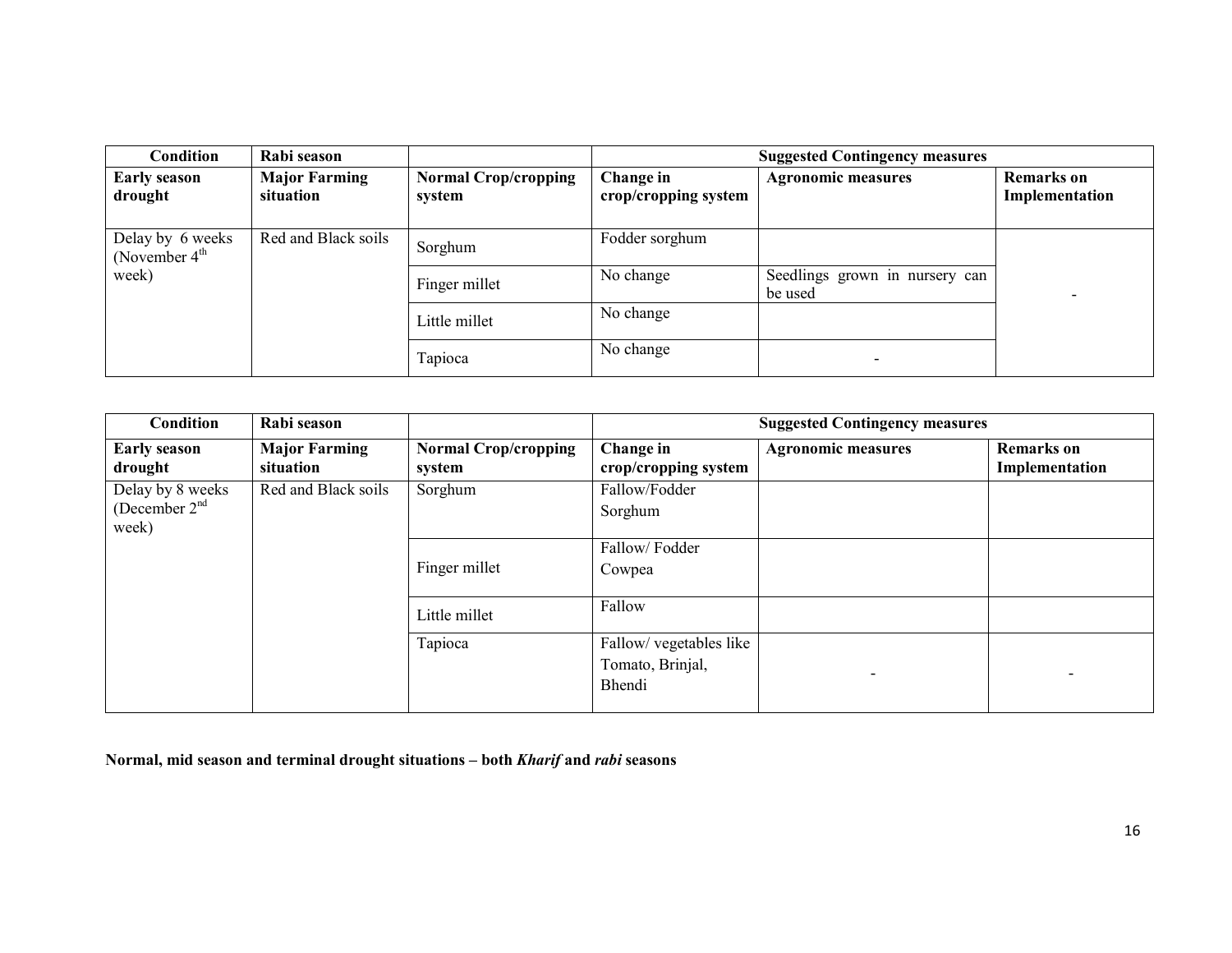| <b>Condition</b>                      | Rabi season                       |                                       |                                   | <b>Suggested Contingency measures</b>     |                                     |
|---------------------------------------|-----------------------------------|---------------------------------------|-----------------------------------|-------------------------------------------|-------------------------------------|
| <b>Early season</b><br>drought        | <b>Major Farming</b><br>situation | <b>Normal Crop/cropping</b><br>system | Change in<br>crop/cropping system | <b>Agronomic measures</b>                 | <b>Remarks</b> on<br>Implementation |
| Delay by 6 weeks<br>(November $4th$ ) | Red and Black soils               | Sorghum                               | Fodder sorghum                    |                                           |                                     |
| week)                                 |                                   | Finger millet                         | No change                         | Seedlings grown in nursery can<br>be used |                                     |
|                                       |                                   | Little millet                         | No change                         |                                           |                                     |
|                                       |                                   | Tapioca                               | No change                         |                                           |                                     |

| <b>Condition</b>                             | Rabi season                       |                                       |                                                       | <b>Suggested Contingency measures</b> |                                     |  |  |
|----------------------------------------------|-----------------------------------|---------------------------------------|-------------------------------------------------------|---------------------------------------|-------------------------------------|--|--|
| <b>Early season</b><br>drought               | <b>Major Farming</b><br>situation | <b>Normal Crop/cropping</b><br>system | Change in<br>crop/cropping system                     | <b>Agronomic measures</b>             | <b>Remarks</b> on<br>Implementation |  |  |
| Delay by 8 weeks<br>(December $2nd$<br>week) | Red and Black soils               | Sorghum                               | Fallow/Fodder<br>Sorghum                              |                                       |                                     |  |  |
|                                              |                                   | Finger millet                         | Fallow/Fodder<br>Cowpea                               |                                       |                                     |  |  |
|                                              |                                   | Little millet                         | Fallow                                                |                                       |                                     |  |  |
|                                              |                                   | Tapioca                               | Fallow/ vegetables like<br>Tomato, Brinjal,<br>Bhendi |                                       |                                     |  |  |

Normal, mid season and terminal drought situations – both Kharif and rabi seasons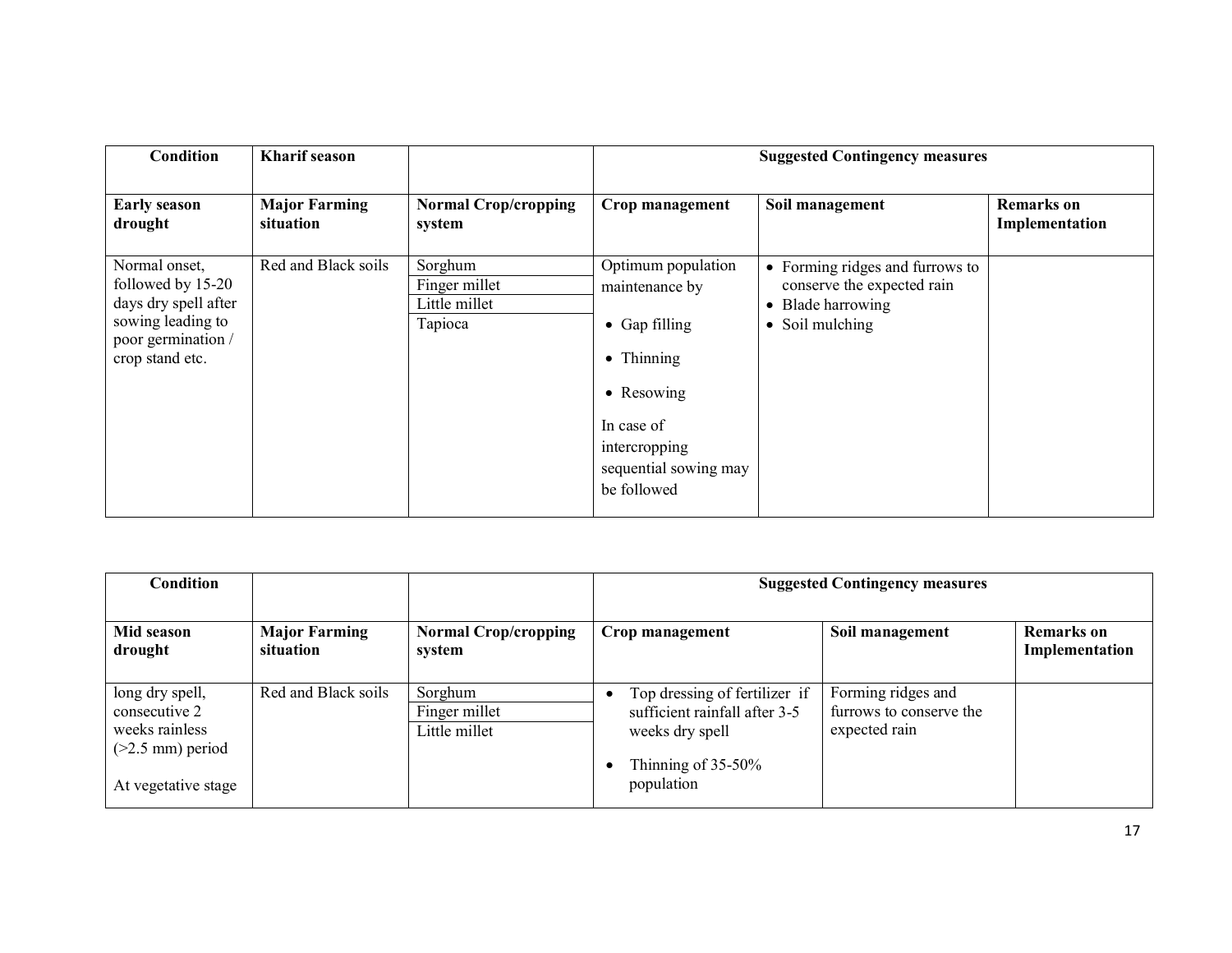| <b>Condition</b>                                                                                                         | <b>Kharif</b> season              |                                                      |                                                                                                                                                                          | <b>Suggested Contingency measures</b>                                                                               |                                     |
|--------------------------------------------------------------------------------------------------------------------------|-----------------------------------|------------------------------------------------------|--------------------------------------------------------------------------------------------------------------------------------------------------------------------------|---------------------------------------------------------------------------------------------------------------------|-------------------------------------|
| <b>Early season</b><br>drought                                                                                           | <b>Major Farming</b><br>situation | <b>Normal Crop/cropping</b><br>system                | Crop management                                                                                                                                                          | Soil management                                                                                                     | <b>Remarks</b> on<br>Implementation |
| Normal onset,<br>followed by 15-20<br>days dry spell after<br>sowing leading to<br>poor germination /<br>crop stand etc. | Red and Black soils               | Sorghum<br>Finger millet<br>Little millet<br>Tapioca | Optimum population<br>maintenance by<br>$\bullet$ Gap filling<br>$\bullet$ Thinning<br>• Resowing<br>In case of<br>intercropping<br>sequential sowing may<br>be followed | • Forming ridges and furrows to<br>conserve the expected rain<br>Blade harrowing<br>$\bullet$<br>Soil mulching<br>٠ |                                     |

| <b>Condition</b>                                                                                |                                   |                                           | <b>Suggested Contingency measures</b>                                                                                    |                                                                |                                     |  |
|-------------------------------------------------------------------------------------------------|-----------------------------------|-------------------------------------------|--------------------------------------------------------------------------------------------------------------------------|----------------------------------------------------------------|-------------------------------------|--|
| Mid season<br>drought                                                                           | <b>Major Farming</b><br>situation | <b>Normal Crop/cropping</b><br>system     | Crop management                                                                                                          | Soil management                                                | <b>Remarks</b> on<br>Implementation |  |
| long dry spell,<br>consecutive 2<br>weeks rainless<br>$(>2.5$ mm) period<br>At vegetative stage | Red and Black soils               | Sorghum<br>Finger millet<br>Little millet | Top dressing of fertilizer if<br>sufficient rainfall after 3-5<br>weeks dry spell<br>Thinning of $35-50\%$<br>population | Forming ridges and<br>furrows to conserve the<br>expected rain |                                     |  |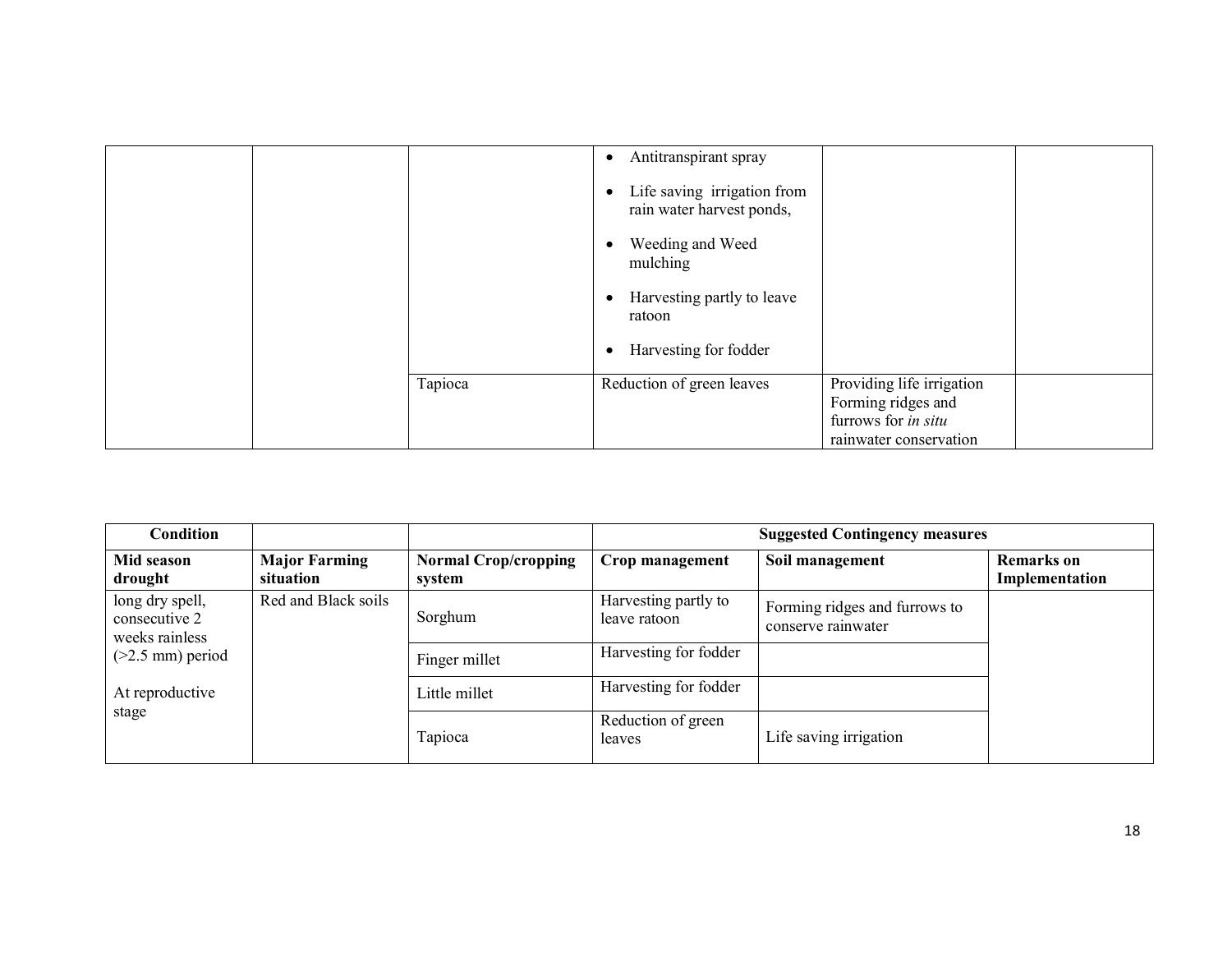|  |         | Antitranspirant spray<br>$\bullet$<br>Life saving irrigation from<br>$\bullet$<br>rain water harvest ponds,<br>Weeding and Weed<br>mulching<br>Harvesting partly to leave<br>$\bullet$<br>ratoon<br>Harvesting for fodder<br>$\bullet$ |                                                                                                  |  |
|--|---------|----------------------------------------------------------------------------------------------------------------------------------------------------------------------------------------------------------------------------------------|--------------------------------------------------------------------------------------------------|--|
|  | Tapioca | Reduction of green leaves                                                                                                                                                                                                              | Providing life irrigation<br>Forming ridges and<br>furrows for in situ<br>rainwater conservation |  |

| <b>Condition</b>                                   |                                   |                                       | <b>Suggested Contingency measures</b> |                                                     |                                     |  |
|----------------------------------------------------|-----------------------------------|---------------------------------------|---------------------------------------|-----------------------------------------------------|-------------------------------------|--|
| Mid season<br>drought                              | <b>Major Farming</b><br>situation | <b>Normal Crop/cropping</b><br>system | Crop management                       | Soil management                                     | <b>Remarks</b> on<br>Implementation |  |
| long dry spell,<br>consecutive 2<br>weeks rainless | Red and Black soils               | Sorghum                               | Harvesting partly to<br>leave ratoon  | Forming ridges and furrows to<br>conserve rainwater |                                     |  |
| $(>2.5$ mm) period                                 |                                   | Finger millet                         | Harvesting for fodder                 |                                                     |                                     |  |
| At reproductive                                    |                                   | Little millet                         | Harvesting for fodder                 |                                                     |                                     |  |
| stage                                              |                                   | Tapioca                               | Reduction of green<br>leaves          | Life saving irrigation                              |                                     |  |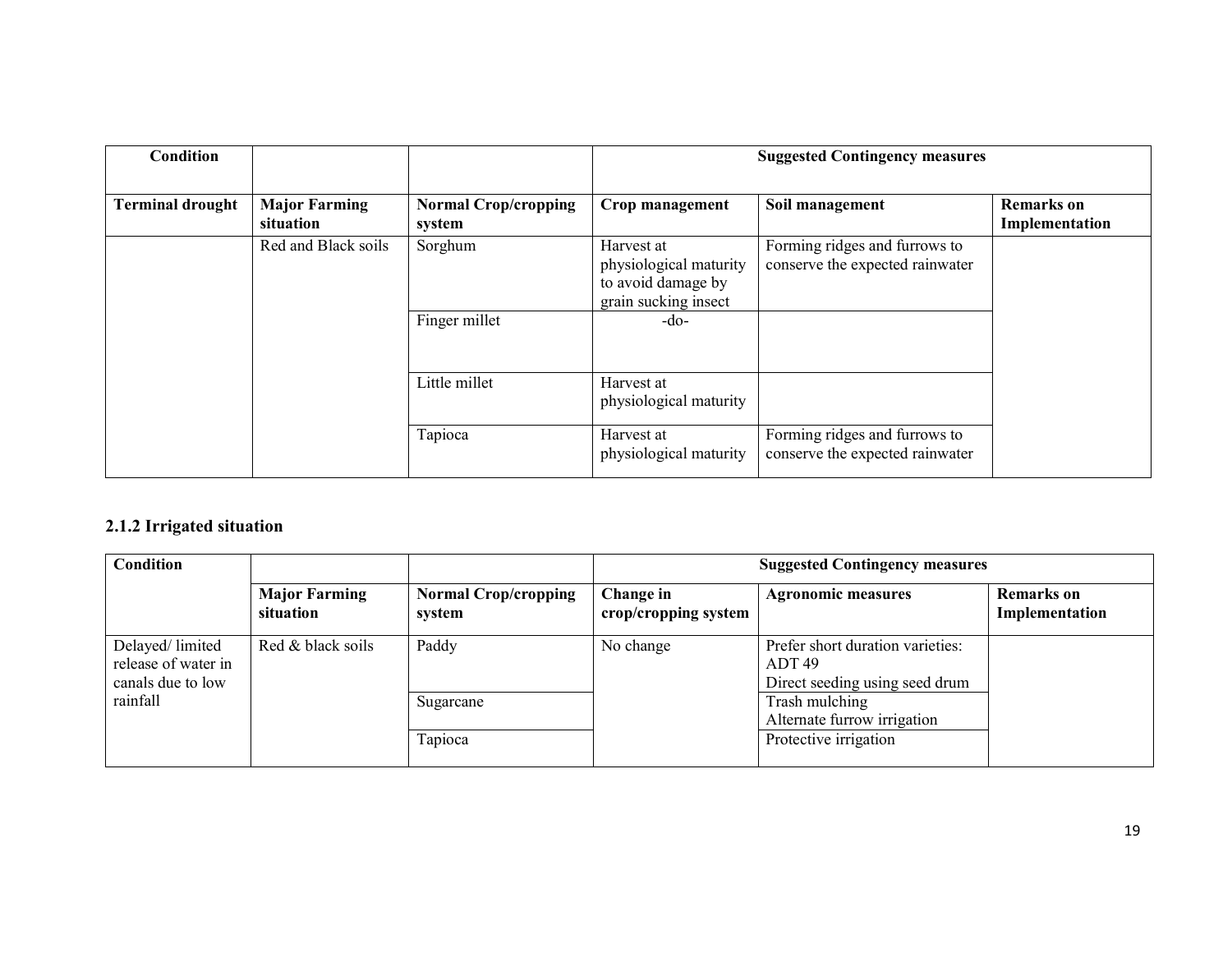| <b>Condition</b>        |                                   |                                       | <b>Suggested Contingency measures</b>                                              |                                                                  |                                     |  |
|-------------------------|-----------------------------------|---------------------------------------|------------------------------------------------------------------------------------|------------------------------------------------------------------|-------------------------------------|--|
| <b>Terminal drought</b> | <b>Major Farming</b><br>situation | <b>Normal Crop/cropping</b><br>system | Crop management                                                                    | Soil management                                                  | <b>Remarks</b> on<br>Implementation |  |
|                         | Red and Black soils               | Sorghum                               | Harvest at<br>physiological maturity<br>to avoid damage by<br>grain sucking insect | Forming ridges and furrows to<br>conserve the expected rainwater |                                     |  |
|                         |                                   | Finger millet                         | $-do-$                                                                             |                                                                  |                                     |  |
|                         |                                   | Little millet                         | Harvest at<br>physiological maturity                                               |                                                                  |                                     |  |
|                         |                                   | Tapioca                               | Harvest at<br>physiological maturity                                               | Forming ridges and furrows to<br>conserve the expected rainwater |                                     |  |

## 2.1.2 Irrigated situation

| Condition                                                   |                                   | <b>Suggested Contingency measures</b> |                                   |                                                                              |                              |  |
|-------------------------------------------------------------|-----------------------------------|---------------------------------------|-----------------------------------|------------------------------------------------------------------------------|------------------------------|--|
|                                                             | <b>Major Farming</b><br>situation | <b>Normal Crop/cropping</b><br>system | Change in<br>crop/cropping system | <b>Agronomic measures</b>                                                    | Remarks on<br>Implementation |  |
| Delayed/limited<br>release of water in<br>canals due to low | Red & black soils                 | Paddy                                 | No change                         | Prefer short duration varieties:<br>ADT 49<br>Direct seeding using seed drum |                              |  |
| rainfall                                                    |                                   | Sugarcane                             |                                   | Trash mulching<br>Alternate furrow irrigation                                |                              |  |
|                                                             |                                   | Tapioca                               |                                   | Protective irrigation                                                        |                              |  |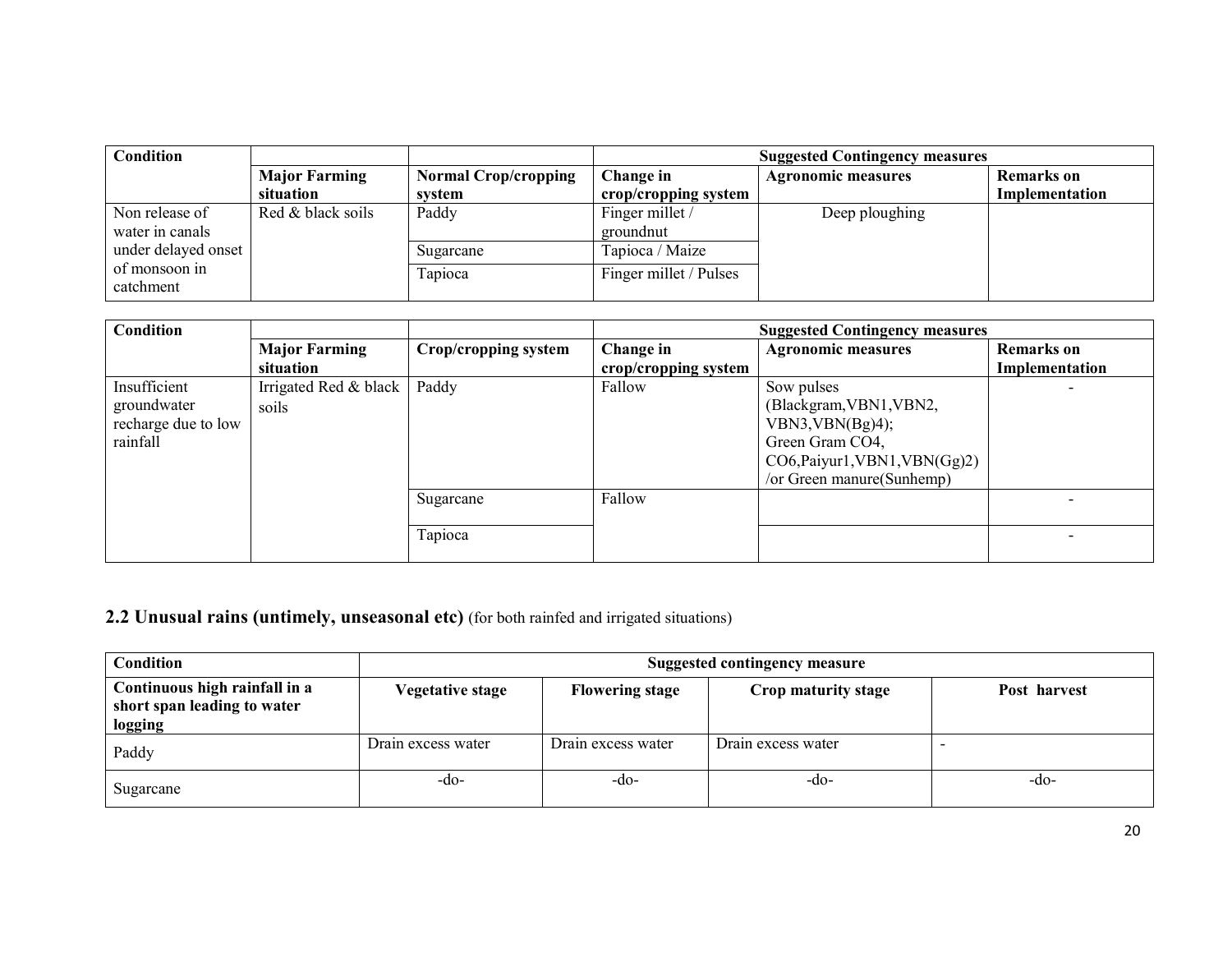| <b>Condition</b>           |                      |                             | <b>Suggested Contingency measures</b> |                           |                   |
|----------------------------|----------------------|-----------------------------|---------------------------------------|---------------------------|-------------------|
|                            | <b>Major Farming</b> | <b>Normal Crop/cropping</b> | Change in                             | <b>Agronomic measures</b> | <b>Remarks</b> on |
|                            | situation            | system                      | crop/cropping system                  |                           | Implementation    |
| Non release of             | Red & black soils    | Paddy                       | Finger millet /                       | Deep ploughing            |                   |
| water in canals            |                      |                             | groundnut                             |                           |                   |
| under delayed onset        |                      | Sugarcane                   | Tapioca / Maize                       |                           |                   |
| of monsoon in<br>catchment |                      | <b>Fapioca</b>              | Finger millet / Pulses                |                           |                   |

| <b>Condition</b>    |                       |                      |                      | <b>Suggested Contingency measures</b> |                   |
|---------------------|-----------------------|----------------------|----------------------|---------------------------------------|-------------------|
|                     | <b>Major Farming</b>  | Crop/cropping system | Change in            | <b>Agronomic measures</b>             | <b>Remarks</b> on |
|                     | situation             |                      | crop/cropping system |                                       | Implementation    |
| Insufficient        | Irrigated Red & black | Paddy                | Fallow               | Sow pulses                            |                   |
| groundwater         | soils                 |                      |                      | (Blackgram, VBN1, VBN2,               |                   |
| recharge due to low |                       |                      |                      | VBN3, VBN(Bg)4);                      |                   |
| rainfall            |                       |                      |                      | Green Gram CO4,                       |                   |
|                     |                       |                      |                      | CO6, Paiyur1, VBN1, VBN(Gg)2)         |                   |
|                     |                       |                      |                      | /or Green manure(Sunhemp)             |                   |
|                     |                       | Sugarcane            | Fallow               |                                       |                   |
|                     |                       |                      |                      |                                       |                   |
|                     |                       | Tapioca              |                      |                                       |                   |
|                     |                       |                      |                      |                                       |                   |

# 2.2 Unusual rains (untimely, unseasonal etc) (for both rainfed and irrigated situations)

| Condition                                                               | <b>Suggested contingency measure</b> |                        |                     |              |  |  |  |
|-------------------------------------------------------------------------|--------------------------------------|------------------------|---------------------|--------------|--|--|--|
| Continuous high rainfall in a<br>short span leading to water<br>logging | Vegetative stage                     | <b>Flowering stage</b> | Crop maturity stage | Post harvest |  |  |  |
| Paddy                                                                   | Drain excess water                   | Drain excess water     | Drain excess water  |              |  |  |  |
| Sugarcane                                                               | -do-                                 | -do-                   | -do-                | -do-         |  |  |  |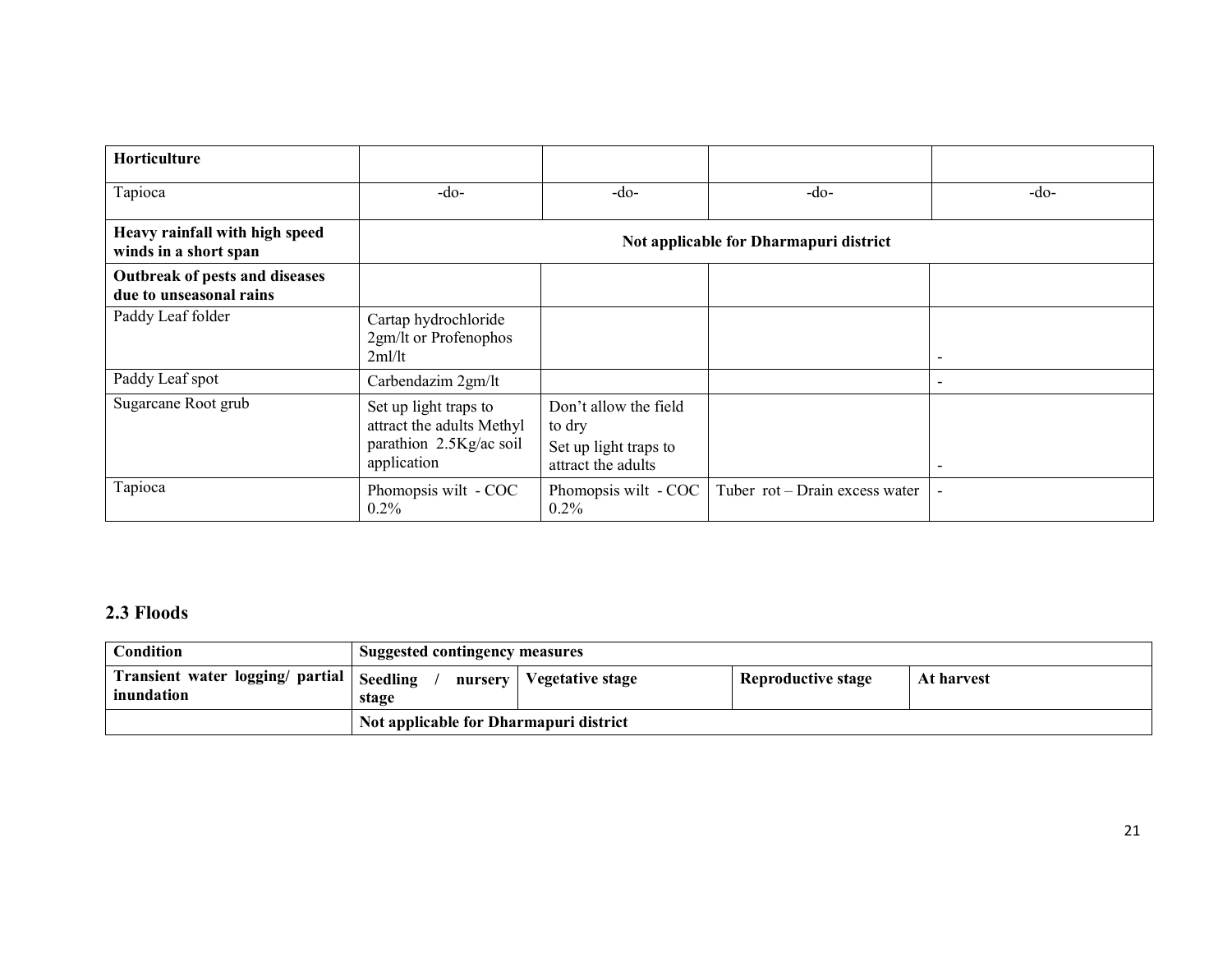| <b>Horticulture</b>                                       |                                                                                              |                                                                                |                                        |                          |
|-----------------------------------------------------------|----------------------------------------------------------------------------------------------|--------------------------------------------------------------------------------|----------------------------------------|--------------------------|
| Tapioca                                                   | $-do-$                                                                                       | $-do-$                                                                         | $-do-$                                 | $-do-$                   |
| Heavy rainfall with high speed<br>winds in a short span   |                                                                                              |                                                                                | Not applicable for Dharmapuri district |                          |
| Outbreak of pests and diseases<br>due to unseasonal rains |                                                                                              |                                                                                |                                        |                          |
| Paddy Leaf folder                                         | Cartap hydrochloride<br>2gm/lt or Profenophos<br>2ml/lt                                      |                                                                                |                                        | $\overline{\phantom{a}}$ |
| Paddy Leaf spot                                           | Carbendazim 2gm/lt                                                                           |                                                                                |                                        | $\overline{\phantom{a}}$ |
| Sugarcane Root grub                                       | Set up light traps to<br>attract the adults Methyl<br>parathion 2.5Kg/ac soil<br>application | Don't allow the field<br>to dry<br>Set up light traps to<br>attract the adults |                                        | $\blacksquare$           |
| Tapioca                                                   | Phomopsis wilt - COC<br>$0.2\%$                                                              | Phomopsis wilt - COC<br>$0.2\%$                                                | Tuber rot - Drain excess water         |                          |

# 2.3 Floods

| Condition                                                 | <b>Suggested contingency measures</b>  |                            |                           |            |
|-----------------------------------------------------------|----------------------------------------|----------------------------|---------------------------|------------|
| Transient water logging/ partial   Seedling<br>inundation | stage                                  | nursery   Vegetative stage | <b>Reproductive stage</b> | At harvest |
|                                                           | Not applicable for Dharmapuri district |                            |                           |            |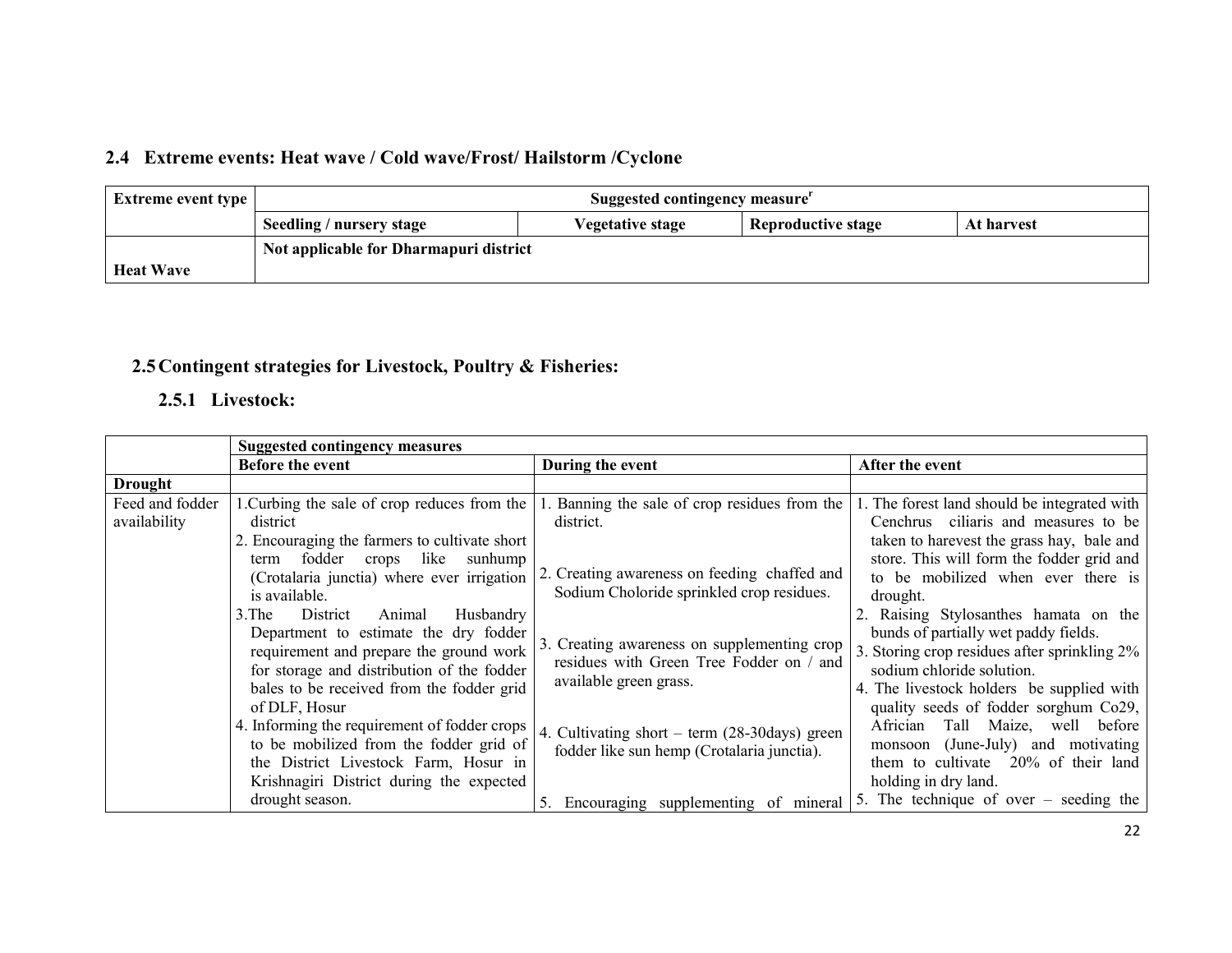# 2.4 Extreme events: Heat wave / Cold wave/Frost/ Hailstorm /Cyclone

| <b>Extreme event type</b> | Suggested contingency measure <sup>r</sup>                                                     |  |  |  |
|---------------------------|------------------------------------------------------------------------------------------------|--|--|--|
|                           | <b>Reproductive stage</b><br>Seedling / nursery stage<br><b>Vegetative stage</b><br>At harvest |  |  |  |
|                           | Not applicable for Dharmapuri district                                                         |  |  |  |
| <b>Heat Wave</b>          |                                                                                                |  |  |  |

## 2.5Contingent strategies for Livestock, Poultry & Fisheries:

# 2.5.1 Livestock:

|                                 | <b>Suggested contingency measures</b>                                                                                                                                                                                                                                                                                                                                                                                                                                                                                                                                                                   |                                                                                                                                                                                                                                                                                                                                                                             |                                                                                                                                                                                                                                                                                                                                                                                                                                                                                                                                                                                                          |  |  |
|---------------------------------|---------------------------------------------------------------------------------------------------------------------------------------------------------------------------------------------------------------------------------------------------------------------------------------------------------------------------------------------------------------------------------------------------------------------------------------------------------------------------------------------------------------------------------------------------------------------------------------------------------|-----------------------------------------------------------------------------------------------------------------------------------------------------------------------------------------------------------------------------------------------------------------------------------------------------------------------------------------------------------------------------|----------------------------------------------------------------------------------------------------------------------------------------------------------------------------------------------------------------------------------------------------------------------------------------------------------------------------------------------------------------------------------------------------------------------------------------------------------------------------------------------------------------------------------------------------------------------------------------------------------|--|--|
|                                 | <b>Before the event</b>                                                                                                                                                                                                                                                                                                                                                                                                                                                                                                                                                                                 | During the event                                                                                                                                                                                                                                                                                                                                                            | After the event                                                                                                                                                                                                                                                                                                                                                                                                                                                                                                                                                                                          |  |  |
| <b>Drought</b>                  |                                                                                                                                                                                                                                                                                                                                                                                                                                                                                                                                                                                                         |                                                                                                                                                                                                                                                                                                                                                                             |                                                                                                                                                                                                                                                                                                                                                                                                                                                                                                                                                                                                          |  |  |
| Feed and fodder<br>availability | 1. Curbing the sale of crop reduces from the<br>district<br>2. Encouraging the farmers to cultivate short<br>like<br>fodder<br>sunhump<br>crops<br>term<br>(Crotalaria junctia) where ever irrigation<br>is available.<br>Animal<br>Husbandry<br>3. The<br>District<br>Department to estimate the dry fodder<br>requirement and prepare the ground work<br>for storage and distribution of the fodder<br>bales to be received from the fodder grid<br>of DLF, Hosur<br>4. Informing the requirement of fodder crops<br>to be mobilized from the fodder grid of<br>the District Livestock Farm, Hosur in | 1. Banning the sale of crop residues from the<br>district.<br>2. Creating awareness on feeding chaffed and<br>Sodium Choloride sprinkled crop residues.<br>3. Creating awareness on supplementing crop<br>residues with Green Tree Fodder on / and<br>available green grass.<br>4. Cultivating short – term (28-30days) green<br>fodder like sun hemp (Crotalaria junctia). | 1. The forest land should be integrated with<br>Cenchrus ciliaris and measures to be<br>taken to harevest the grass hay, bale and<br>store. This will form the fodder grid and<br>to be mobilized when ever there is<br>drought.<br>2. Raising Stylosanthes hamata on the<br>bunds of partially wet paddy fields.<br>3. Storing crop residues after sprinkling 2%<br>sodium chloride solution.<br>4. The livestock holders be supplied with<br>quality seeds of fodder sorghum Co29,<br>Tall Maize, well before<br>Africian<br>monsoon (June-July) and motivating<br>them to cultivate 20% of their land |  |  |
|                                 | Krishnagiri District during the expected                                                                                                                                                                                                                                                                                                                                                                                                                                                                                                                                                                |                                                                                                                                                                                                                                                                                                                                                                             | holding in dry land.                                                                                                                                                                                                                                                                                                                                                                                                                                                                                                                                                                                     |  |  |
|                                 | drought season.                                                                                                                                                                                                                                                                                                                                                                                                                                                                                                                                                                                         | Encouraging supplementing of mineral                                                                                                                                                                                                                                                                                                                                        | 5. The technique of over $-$ seeding the                                                                                                                                                                                                                                                                                                                                                                                                                                                                                                                                                                 |  |  |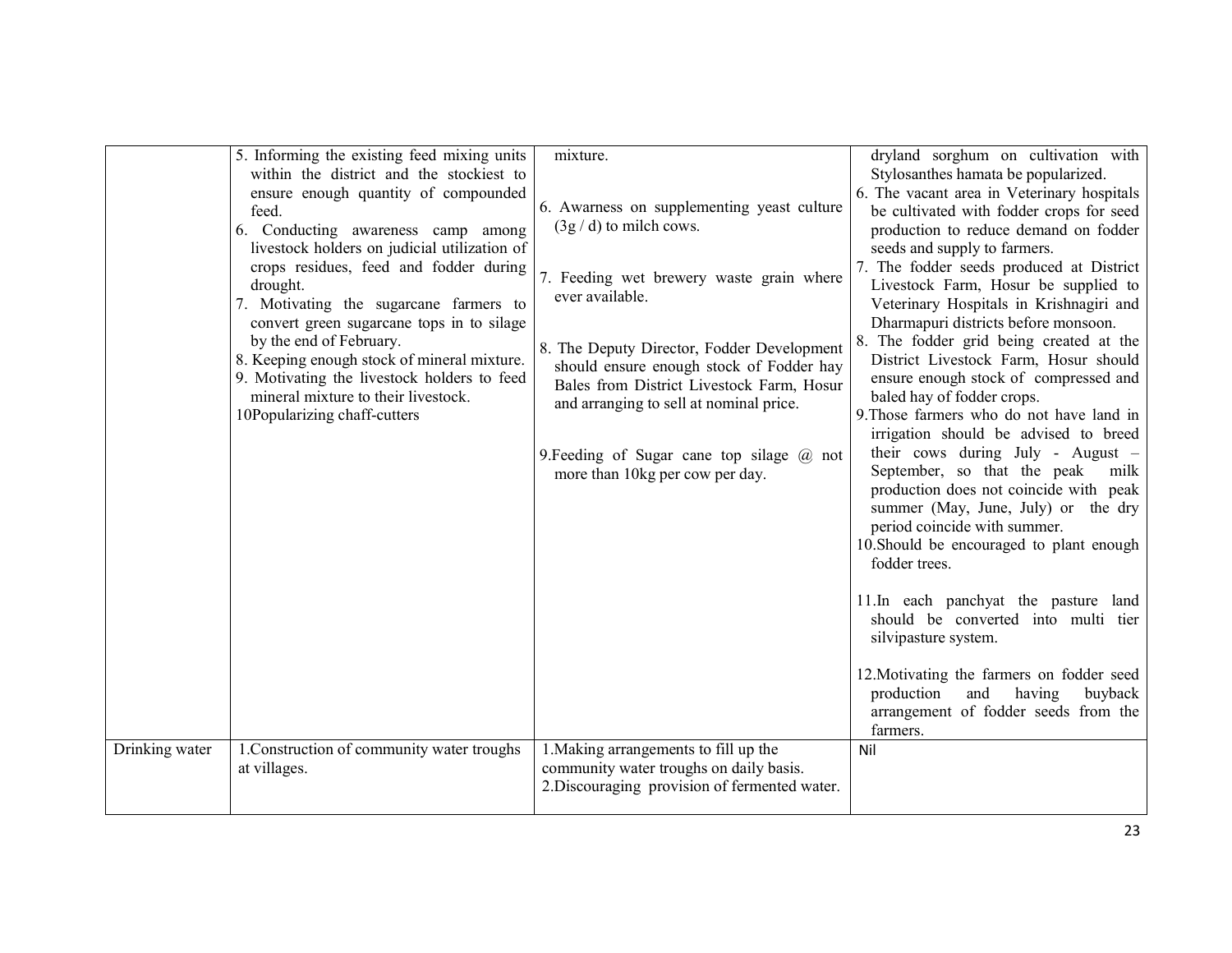| 5. Informing the existing feed mixing units<br>within the district and the stockiest to                                                                                                      | mixture.                                                                                                                                                                                                                                                           | dryland sorghum on cultivation with<br>Stylosanthes hamata be popularized.                                                                                                                                                                                                                                                                                                                                                                  |
|----------------------------------------------------------------------------------------------------------------------------------------------------------------------------------------------|--------------------------------------------------------------------------------------------------------------------------------------------------------------------------------------------------------------------------------------------------------------------|---------------------------------------------------------------------------------------------------------------------------------------------------------------------------------------------------------------------------------------------------------------------------------------------------------------------------------------------------------------------------------------------------------------------------------------------|
| ensure enough quantity of compounded<br>feed.<br>6. Conducting awareness camp among<br>livestock holders on judicial utilization of                                                          | 6. Awarness on supplementing yeast culture<br>$(3g/d)$ to milch cows.                                                                                                                                                                                              | 6. The vacant area in Veterinary hospitals<br>be cultivated with fodder crops for seed<br>production to reduce demand on fodder<br>seeds and supply to farmers.                                                                                                                                                                                                                                                                             |
| crops residues, feed and fodder during<br>drought.<br>7. Motivating the sugarcane farmers to<br>convert green sugarcane tops in to silage                                                    | 7. Feeding wet brewery waste grain where<br>ever available.                                                                                                                                                                                                        | 7. The fodder seeds produced at District<br>Livestock Farm, Hosur be supplied to<br>Veterinary Hospitals in Krishnagiri and<br>Dharmapuri districts before monsoon.                                                                                                                                                                                                                                                                         |
| by the end of February.<br>8. Keeping enough stock of mineral mixture.<br>9. Motivating the livestock holders to feed<br>mineral mixture to their livestock.<br>10Popularizing chaff-cutters | 8. The Deputy Director, Fodder Development<br>should ensure enough stock of Fodder hay<br>Bales from District Livestock Farm, Hosur<br>and arranging to sell at nominal price.<br>9. Feeding of Sugar cane top silage $(a)$ not<br>more than 10kg per cow per day. | 8. The fodder grid being created at the<br>District Livestock Farm, Hosur should<br>ensure enough stock of compressed and<br>baled hay of fodder crops.<br>9. Those farmers who do not have land in<br>irrigation should be advised to breed<br>their cows during July - August $-$<br>September, so that the peak<br>milk<br>production does not coincide with peak<br>summer (May, June, July) or the dry<br>period coincide with summer. |
|                                                                                                                                                                                              |                                                                                                                                                                                                                                                                    | 10. Should be encouraged to plant enough<br>fodder trees.                                                                                                                                                                                                                                                                                                                                                                                   |
|                                                                                                                                                                                              |                                                                                                                                                                                                                                                                    | 11.In each panchyat the pasture land<br>should be converted into multi tier<br>silvipasture system.                                                                                                                                                                                                                                                                                                                                         |
|                                                                                                                                                                                              |                                                                                                                                                                                                                                                                    | 12. Motivating the farmers on fodder seed<br>production<br>and<br>having<br>buyback<br>arrangement of fodder seeds from the<br>farmers.                                                                                                                                                                                                                                                                                                     |
| 1. Construction of community water troughs<br>Drinking water<br>at villages.                                                                                                                 | 1. Making arrangements to fill up the<br>community water troughs on daily basis.<br>2. Discouraging provision of fermented water.                                                                                                                                  | Nil                                                                                                                                                                                                                                                                                                                                                                                                                                         |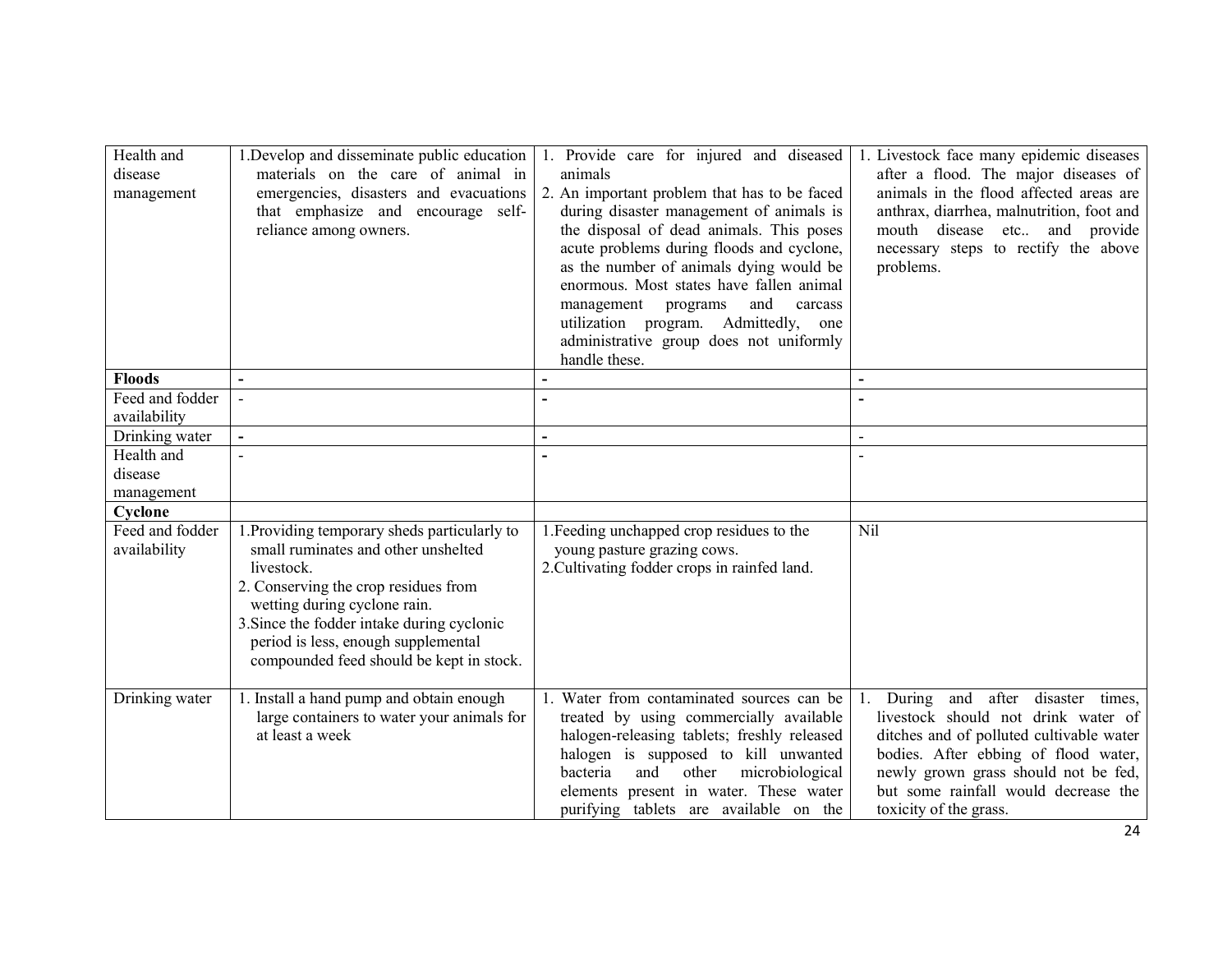| Health and<br>disease<br>management | 1. Develop and disseminate public education<br>materials on the care of animal in<br>emergencies, disasters and evacuations<br>that emphasize and encourage self-<br>reliance among owners.                                                                                                                | 1. Provide care for injured and diseased<br>animals<br>2. An important problem that has to be faced<br>during disaster management of animals is<br>the disposal of dead animals. This poses<br>acute problems during floods and cyclone,<br>as the number of animals dying would be<br>enormous. Most states have fallen animal<br>and<br>management programs<br>carcass<br>utilization program. Admittedly,<br>one<br>administrative group does not uniformly<br>handle these. | 1. Livestock face many epidemic diseases<br>after a flood. The major diseases of<br>animals in the flood affected areas are<br>anthrax, diarrhea, malnutrition, foot and<br>mouth disease etc and provide<br>necessary steps to rectify the above<br>problems.           |
|-------------------------------------|------------------------------------------------------------------------------------------------------------------------------------------------------------------------------------------------------------------------------------------------------------------------------------------------------------|---------------------------------------------------------------------------------------------------------------------------------------------------------------------------------------------------------------------------------------------------------------------------------------------------------------------------------------------------------------------------------------------------------------------------------------------------------------------------------|--------------------------------------------------------------------------------------------------------------------------------------------------------------------------------------------------------------------------------------------------------------------------|
| <b>Floods</b>                       | $\overline{\phantom{a}}$                                                                                                                                                                                                                                                                                   |                                                                                                                                                                                                                                                                                                                                                                                                                                                                                 |                                                                                                                                                                                                                                                                          |
| Feed and fodder                     |                                                                                                                                                                                                                                                                                                            |                                                                                                                                                                                                                                                                                                                                                                                                                                                                                 |                                                                                                                                                                                                                                                                          |
| availability                        |                                                                                                                                                                                                                                                                                                            |                                                                                                                                                                                                                                                                                                                                                                                                                                                                                 |                                                                                                                                                                                                                                                                          |
| Drinking water                      | $\blacksquare$                                                                                                                                                                                                                                                                                             |                                                                                                                                                                                                                                                                                                                                                                                                                                                                                 | $\blacksquare$                                                                                                                                                                                                                                                           |
| Health and                          |                                                                                                                                                                                                                                                                                                            |                                                                                                                                                                                                                                                                                                                                                                                                                                                                                 | $\sim$                                                                                                                                                                                                                                                                   |
| disease                             |                                                                                                                                                                                                                                                                                                            |                                                                                                                                                                                                                                                                                                                                                                                                                                                                                 |                                                                                                                                                                                                                                                                          |
| management                          |                                                                                                                                                                                                                                                                                                            |                                                                                                                                                                                                                                                                                                                                                                                                                                                                                 |                                                                                                                                                                                                                                                                          |
| Cyclone                             |                                                                                                                                                                                                                                                                                                            |                                                                                                                                                                                                                                                                                                                                                                                                                                                                                 |                                                                                                                                                                                                                                                                          |
| Feed and fodder<br>availability     | 1. Providing temporary sheds particularly to<br>small ruminates and other unshelted<br>livestock.<br>2. Conserving the crop residues from<br>wetting during cyclone rain.<br>3. Since the fodder intake during cyclonic<br>period is less, enough supplemental<br>compounded feed should be kept in stock. | 1. Feeding unchapped crop residues to the<br>young pasture grazing cows.<br>2. Cultivating fodder crops in rainfed land.                                                                                                                                                                                                                                                                                                                                                        | Nil                                                                                                                                                                                                                                                                      |
| Drinking water                      | 1. Install a hand pump and obtain enough<br>large containers to water your animals for<br>at least a week                                                                                                                                                                                                  | 1. Water from contaminated sources can be<br>treated by using commercially available<br>halogen-releasing tablets; freshly released<br>halogen is supposed to kill unwanted<br>and<br>other<br>microbiological<br>bacteria<br>elements present in water. These water<br>purifying tablets are available on the                                                                                                                                                                  | 1. During and after disaster times,<br>livestock should not drink water of<br>ditches and of polluted cultivable water<br>bodies. After ebbing of flood water,<br>newly grown grass should not be fed,<br>but some rainfall would decrease the<br>toxicity of the grass. |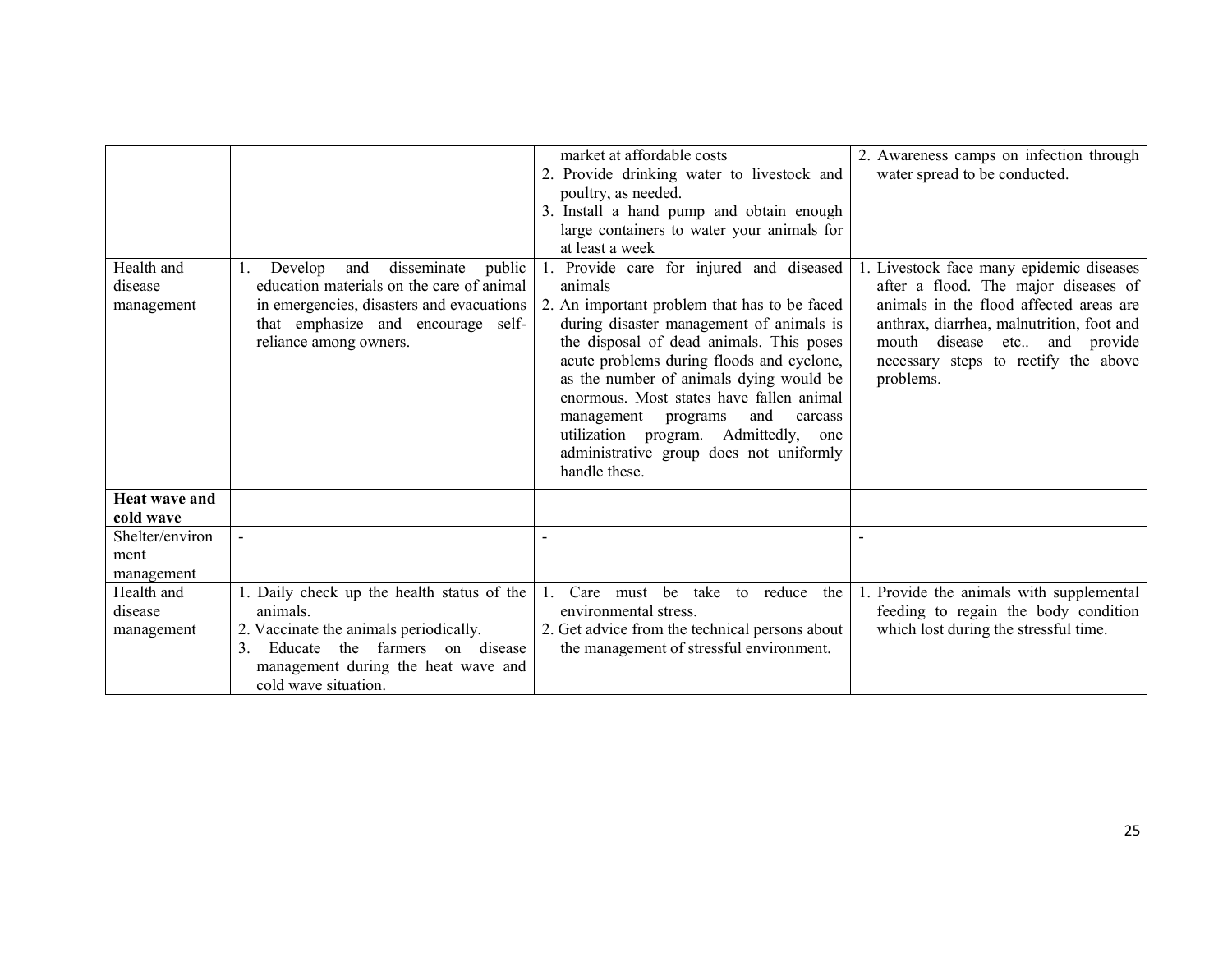|                      |                                                                    | market at affordable costs                     |                                           |
|----------------------|--------------------------------------------------------------------|------------------------------------------------|-------------------------------------------|
|                      |                                                                    |                                                | 2. Awareness camps on infection through   |
|                      |                                                                    | 2. Provide drinking water to livestock and     | water spread to be conducted.             |
|                      |                                                                    | poultry, as needed.                            |                                           |
|                      |                                                                    | 3. Install a hand pump and obtain enough       |                                           |
|                      |                                                                    | large containers to water your animals for     |                                           |
|                      |                                                                    | at least a week                                |                                           |
| Health and           | disseminate<br>Develop<br>and<br>public<br>1.                      | Provide care for injured and diseased          | 1. Livestock face many epidemic diseases  |
| disease              | education materials on the care of animal                          | animals                                        | after a flood. The major diseases of      |
| management           | in emergencies, disasters and evacuations                          | 2. An important problem that has to be faced   | animals in the flood affected areas are   |
|                      | that emphasize and encourage self-                                 | during disaster management of animals is       | anthrax, diarrhea, malnutrition, foot and |
|                      | reliance among owners.                                             | the disposal of dead animals. This poses       | mouth<br>disease etc and provide          |
|                      |                                                                    | acute problems during floods and cyclone,      | necessary steps to rectify the above      |
|                      |                                                                    | as the number of animals dying would be        | problems.                                 |
|                      |                                                                    | enormous. Most states have fallen animal       |                                           |
|                      |                                                                    | and<br>management<br>carcass<br>programs       |                                           |
|                      |                                                                    | utilization program. Admittedly, one           |                                           |
|                      |                                                                    | administrative group does not uniformly        |                                           |
|                      |                                                                    | handle these.                                  |                                           |
| <b>Heat wave and</b> |                                                                    |                                                |                                           |
| cold wave            |                                                                    |                                                |                                           |
| Shelter/environ      |                                                                    |                                                |                                           |
| ment                 |                                                                    |                                                |                                           |
| management           |                                                                    |                                                |                                           |
| Health and           | 1. Daily check up the health status of the                         | be take to reduce the<br>Care must             | 1. Provide the animals with supplemental  |
| disease              | animals.                                                           | environmental stress.                          | feeding to regain the body condition      |
| management           | 2. Vaccinate the animals periodically.                             | 2. Get advice from the technical persons about | which lost during the stressful time.     |
|                      | farmers<br>3 <sub>1</sub><br>disease<br>Educate<br>the<br>$\Omega$ | the management of stressful environment.       |                                           |
|                      | management during the heat wave and                                |                                                |                                           |
|                      | cold wave situation.                                               |                                                |                                           |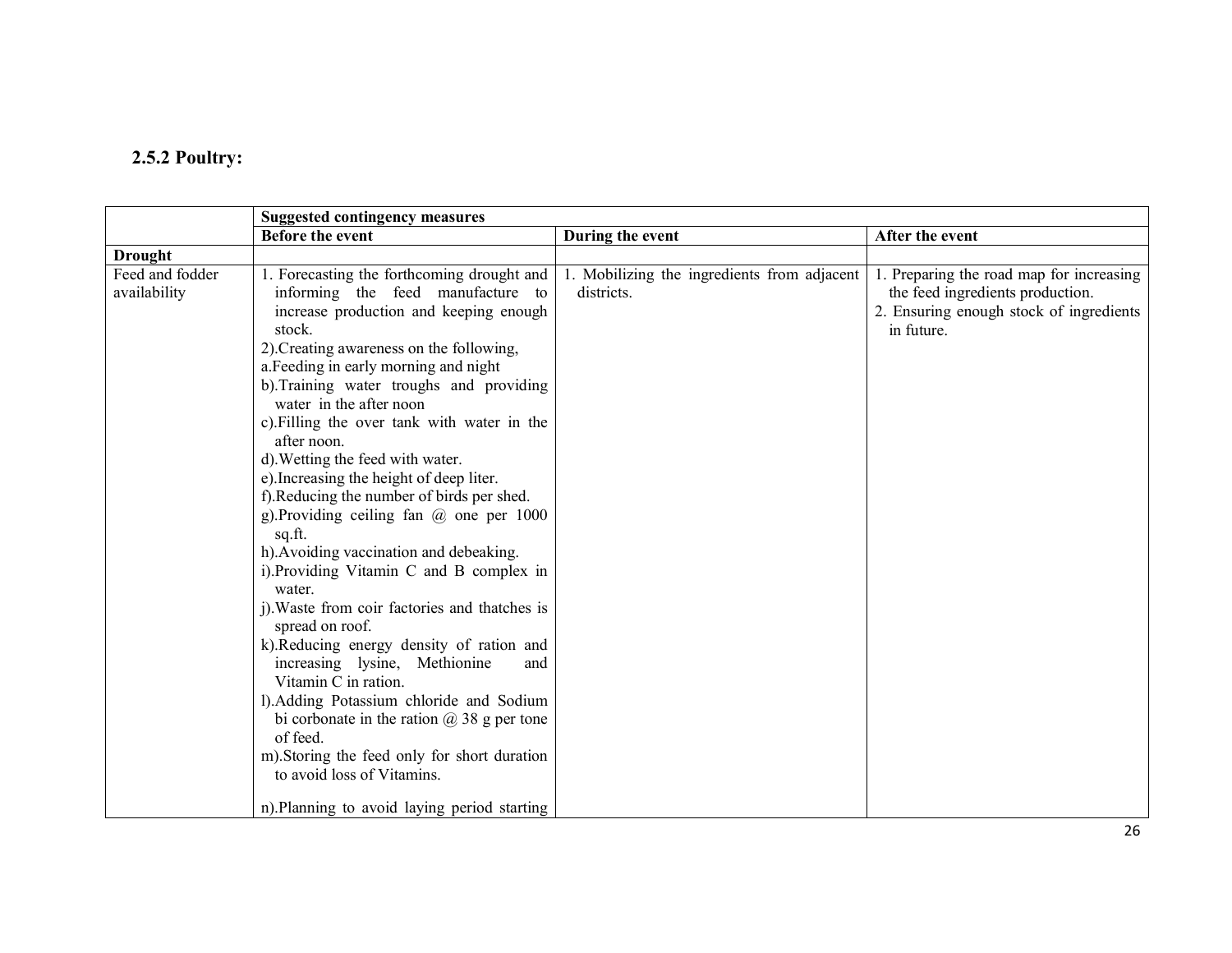# 2.5.2 Poultry:

|                                 | <b>Suggested contingency measures</b>                                                                                                                                                                                                                                                                                                                                                                                                                                                                                                                                                                                           |                                                           |                                                                                                                                       |
|---------------------------------|---------------------------------------------------------------------------------------------------------------------------------------------------------------------------------------------------------------------------------------------------------------------------------------------------------------------------------------------------------------------------------------------------------------------------------------------------------------------------------------------------------------------------------------------------------------------------------------------------------------------------------|-----------------------------------------------------------|---------------------------------------------------------------------------------------------------------------------------------------|
|                                 | <b>Before the event</b>                                                                                                                                                                                                                                                                                                                                                                                                                                                                                                                                                                                                         | During the event                                          | After the event                                                                                                                       |
| <b>Drought</b>                  |                                                                                                                                                                                                                                                                                                                                                                                                                                                                                                                                                                                                                                 |                                                           |                                                                                                                                       |
| Feed and fodder<br>availability | 1. Forecasting the forthcoming drought and<br>informing the feed manufacture to<br>increase production and keeping enough<br>stock.                                                                                                                                                                                                                                                                                                                                                                                                                                                                                             | 1. Mobilizing the ingredients from adjacent<br>districts. | 1. Preparing the road map for increasing<br>the feed ingredients production.<br>2. Ensuring enough stock of ingredients<br>in future. |
|                                 | 2). Creating awareness on the following,<br>a. Feeding in early morning and night<br>b). Training water troughs and providing<br>water in the after noon<br>c). Filling the over tank with water in the<br>after noon.<br>d). Wetting the feed with water.<br>e). Increasing the height of deep liter.<br>f). Reducing the number of birds per shed.<br>g). Providing ceiling fan $(a)$ one per 1000<br>sq.ft.<br>h). Avoiding vaccination and debeaking.<br>i). Providing Vitamin C and B complex in<br>water.<br>j). Waste from coir factories and thatches is<br>spread on roof.<br>k).Reducing energy density of ration and |                                                           |                                                                                                                                       |
|                                 | increasing lysine, Methionine<br>and<br>Vitamin C in ration.<br>l). Adding Potassium chloride and Sodium<br>bi corbonate in the ration $\omega$ 38 g per tone<br>of feed.<br>m). Storing the feed only for short duration<br>to avoid loss of Vitamins.<br>n). Planning to avoid laying period starting                                                                                                                                                                                                                                                                                                                         |                                                           |                                                                                                                                       |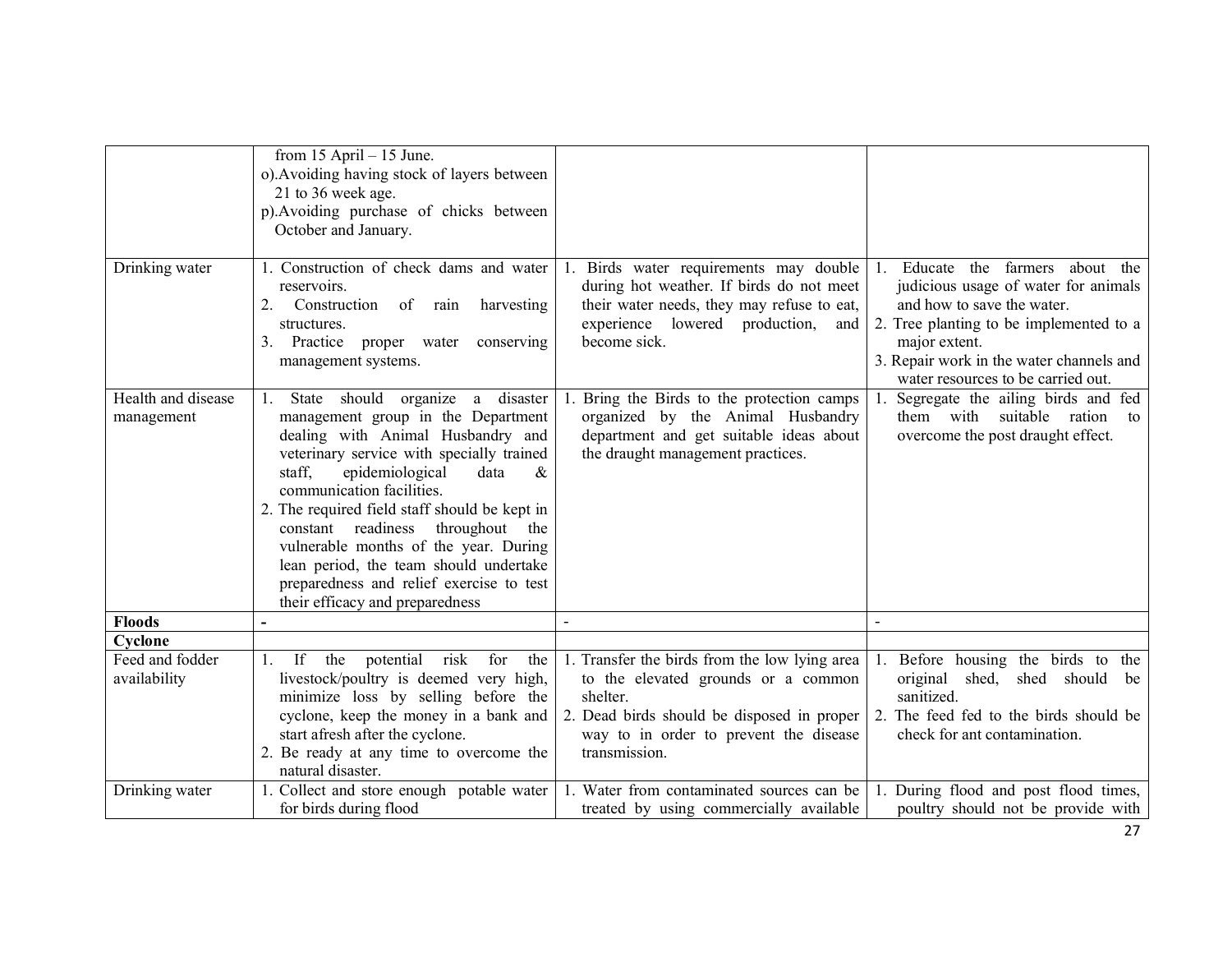| Drinking water                             | from $15$ April $- 15$ June.<br>o). Avoiding having stock of layers between<br>21 to 36 week age.<br>p). Avoiding purchase of chicks between<br>October and January.<br>1. Construction of check dams and water                                                                                                                                                                                                                                                                               | 1. Birds water requirements may double                                                                                                                                                                    | 1. Educate the farmers about the                                                                                                                                                                                 |
|--------------------------------------------|-----------------------------------------------------------------------------------------------------------------------------------------------------------------------------------------------------------------------------------------------------------------------------------------------------------------------------------------------------------------------------------------------------------------------------------------------------------------------------------------------|-----------------------------------------------------------------------------------------------------------------------------------------------------------------------------------------------------------|------------------------------------------------------------------------------------------------------------------------------------------------------------------------------------------------------------------|
|                                            | reservoirs.<br>2.<br>Construction<br>of<br>harvesting<br>rain<br>structures.<br>3. Practice<br>proper water<br>conserving<br>management systems.                                                                                                                                                                                                                                                                                                                                              | during hot weather. If birds do not meet<br>their water needs, they may refuse to eat,<br>experience lowered production,<br>and<br>become sick.                                                           | judicious usage of water for animals<br>and how to save the water.<br>2. Tree planting to be implemented to a<br>major extent.<br>3. Repair work in the water channels and<br>water resources to be carried out. |
| Health and disease<br>management           | State should organize a disaster<br>management group in the Department<br>dealing with Animal Husbandry and<br>veterinary service with specially trained<br>staff.<br>epidemiological<br>data<br>&<br>communication facilities.<br>2. The required field staff should be kept in<br>constant readiness<br>throughout<br>the<br>vulnerable months of the year. During<br>lean period, the team should undertake<br>preparedness and relief exercise to test<br>their efficacy and preparedness | 1. Bring the Birds to the protection camps<br>organized by the Animal Husbandry<br>department and get suitable ideas about<br>the draught management practices.                                           | Segregate the ailing birds and fed<br>them with suitable ration<br>to<br>overcome the post draught effect.                                                                                                       |
| <b>Floods</b>                              |                                                                                                                                                                                                                                                                                                                                                                                                                                                                                               |                                                                                                                                                                                                           |                                                                                                                                                                                                                  |
| Cyclone<br>Feed and fodder<br>availability | If the<br>potential<br>for<br>risk<br>the<br>livestock/poultry is deemed very high,<br>minimize loss by selling before the<br>cyclone, keep the money in a bank and<br>start afresh after the cyclone.<br>2. Be ready at any time to overcome the<br>natural disaster.                                                                                                                                                                                                                        | 1. Transfer the birds from the low lying area<br>to the elevated grounds or a common<br>shelter.<br>2. Dead birds should be disposed in proper<br>way to in order to prevent the disease<br>transmission. | Before housing the birds to the<br>original shed, shed should be<br>sanitized.<br>2. The feed fed to the birds should be<br>check for ant contamination.                                                         |
| Drinking water                             | 1. Collect and store enough potable water<br>for birds during flood                                                                                                                                                                                                                                                                                                                                                                                                                           | 1. Water from contaminated sources can be<br>treated by using commercially available                                                                                                                      | 1. During flood and post flood times,<br>poultry should not be provide with                                                                                                                                      |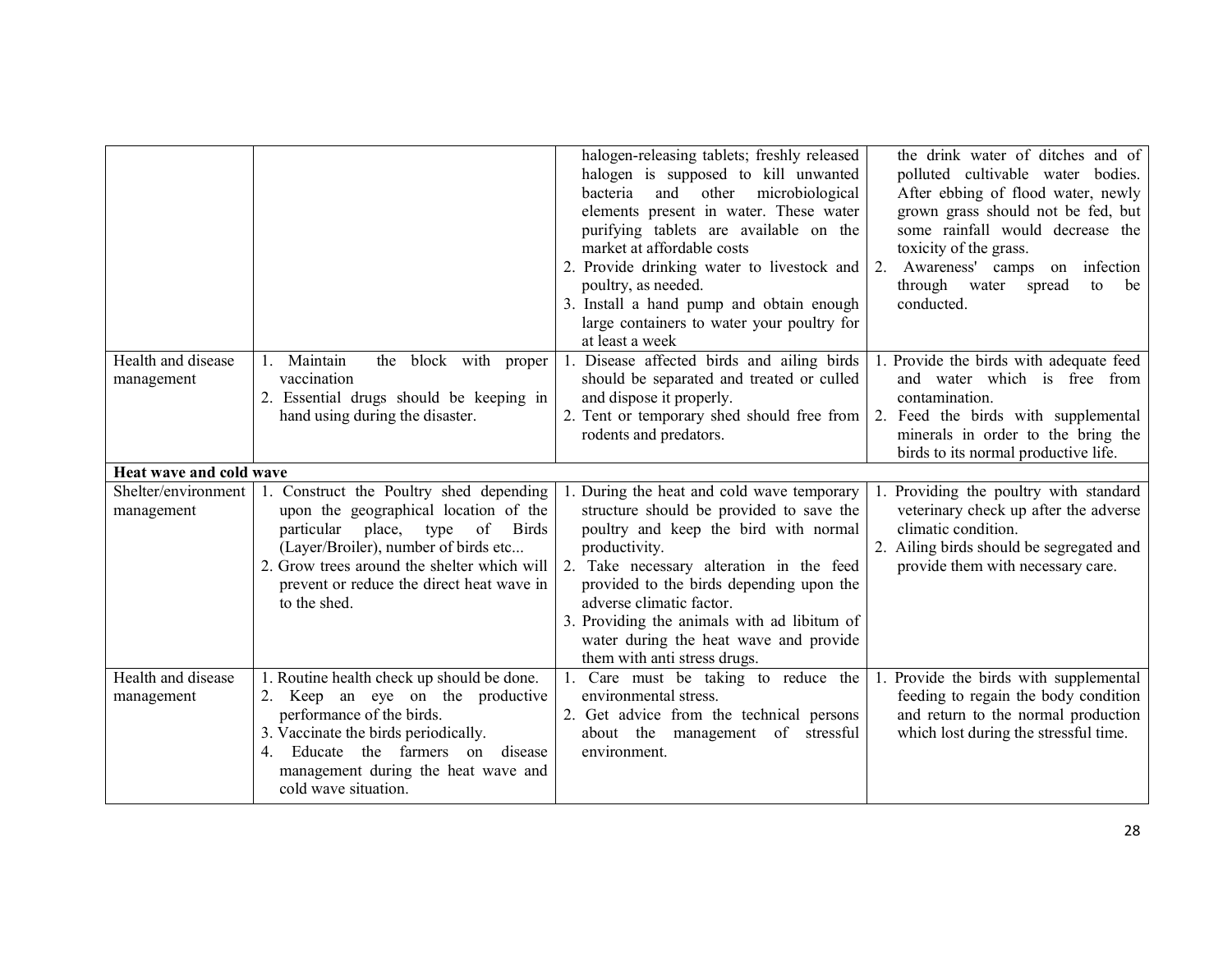|                                   |                                                                                                                                                                                                                                                                                   | halogen-releasing tablets; freshly released<br>halogen is supposed to kill unwanted<br>and other microbiological<br>bacteria<br>elements present in water. These water<br>purifying tablets are available on the<br>market at affordable costs<br>2. Provide drinking water to livestock and<br>poultry, as needed.<br>3. Install a hand pump and obtain enough<br>large containers to water your poultry for<br>at least a week | 2. | the drink water of ditches and of<br>polluted cultivable water bodies.<br>After ebbing of flood water, newly<br>grown grass should not be fed, but<br>some rainfall would decrease the<br>toxicity of the grass.<br>Awareness' camps on infection<br>through water<br>spread<br>to<br>be<br>conducted. |
|-----------------------------------|-----------------------------------------------------------------------------------------------------------------------------------------------------------------------------------------------------------------------------------------------------------------------------------|----------------------------------------------------------------------------------------------------------------------------------------------------------------------------------------------------------------------------------------------------------------------------------------------------------------------------------------------------------------------------------------------------------------------------------|----|--------------------------------------------------------------------------------------------------------------------------------------------------------------------------------------------------------------------------------------------------------------------------------------------------------|
| Health and disease<br>management  | 1. Maintain<br>the block with proper<br>vaccination<br>2. Essential drugs should be keeping in<br>hand using during the disaster.                                                                                                                                                 | 1. Disease affected birds and ailing birds<br>should be separated and treated or culled<br>and dispose it properly.<br>2. Tent or temporary shed should free from<br>rodents and predators.                                                                                                                                                                                                                                      | 1. | Provide the birds with adequate feed<br>and water which is free from<br>contamination.<br>2. Feed the birds with supplemental<br>minerals in order to the bring the<br>birds to its normal productive life.                                                                                            |
| Heat wave and cold wave           |                                                                                                                                                                                                                                                                                   |                                                                                                                                                                                                                                                                                                                                                                                                                                  |    |                                                                                                                                                                                                                                                                                                        |
| Shelter/environment<br>management | 1. Construct the Poultry shed depending<br>upon the geographical location of the<br>particular place, type of<br><b>Birds</b><br>(Layer/Broiler), number of birds etc<br>2. Grow trees around the shelter which will<br>prevent or reduce the direct heat wave in<br>to the shed. | 1. During the heat and cold wave temporary<br>structure should be provided to save the<br>poultry and keep the bird with normal<br>productivity.<br>2. Take necessary alteration in the feed<br>provided to the birds depending upon the<br>adverse climatic factor.<br>3. Providing the animals with ad libitum of<br>water during the heat wave and provide<br>them with anti stress drugs.                                    |    | Providing the poultry with standard<br>veterinary check up after the adverse<br>climatic condition.<br>2. Ailing birds should be segregated and<br>provide them with necessary care.                                                                                                                   |
| Health and disease<br>management  | 1. Routine health check up should be done.<br>2. Keep an eye on the productive<br>performance of the birds.<br>3. Vaccinate the birds periodically.<br>4. Educate the farmers on disease<br>management during the heat wave and<br>cold wave situation.                           | 1. Care must be taking to reduce the<br>environmental stress.<br>2. Get advice from the technical persons<br>about the management of stressful<br>environment.                                                                                                                                                                                                                                                                   |    | 1. Provide the birds with supplemental<br>feeding to regain the body condition<br>and return to the normal production<br>which lost during the stressful time.                                                                                                                                         |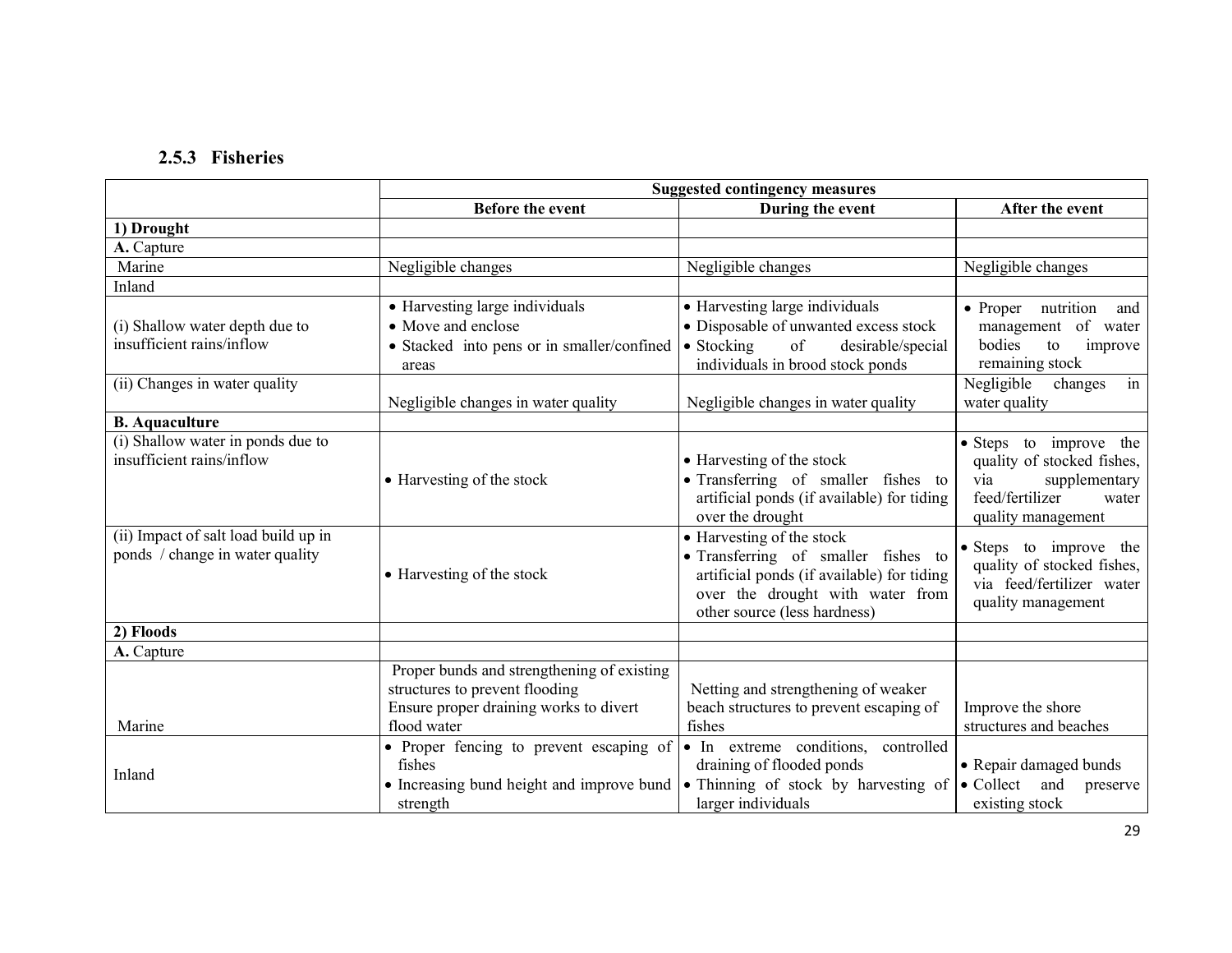# 2.5.3 Fisheries

|                                      |                                            | <b>Suggested contingency measures</b>                            |                                      |
|--------------------------------------|--------------------------------------------|------------------------------------------------------------------|--------------------------------------|
|                                      | <b>Before the event</b>                    | During the event                                                 | After the event                      |
| 1) Drought                           |                                            |                                                                  |                                      |
| A. Capture                           |                                            |                                                                  |                                      |
| Marine                               | Negligible changes                         | Negligible changes                                               | Negligible changes                   |
| Inland                               |                                            |                                                                  |                                      |
|                                      | • Harvesting large individuals             | • Harvesting large individuals                                   | nutrition<br>$\bullet$ Proper<br>and |
| (i) Shallow water depth due to       | • Move and enclose                         | • Disposable of unwanted excess stock                            | management of water                  |
| insufficient rains/inflow            | • Stacked into pens or in smaller/confined | of<br>$\bullet$ Stocking<br>desirable/special                    | bodies<br>to<br>improve              |
|                                      | areas                                      | individuals in brood stock ponds                                 | remaining stock                      |
| (ii) Changes in water quality        |                                            |                                                                  | Negligible<br>in<br>changes          |
|                                      | Negligible changes in water quality        | Negligible changes in water quality                              | water quality                        |
| <b>B.</b> Aquaculture                |                                            |                                                                  |                                      |
| (i) Shallow water in ponds due to    |                                            |                                                                  | • Steps to improve the               |
| insufficient rains/inflow            |                                            | • Harvesting of the stock                                        | quality of stocked fishes,           |
|                                      | • Harvesting of the stock                  | · Transferring of smaller fishes to                              | supplementary<br>via                 |
|                                      |                                            | artificial ponds (if available) for tiding                       | feed/fertilizer<br>water             |
|                                      |                                            | over the drought                                                 | quality management                   |
| (ii) Impact of salt load build up in |                                            | • Harvesting of the stock                                        | • Steps to improve the               |
| ponds / change in water quality      |                                            | • Transferring of smaller fishes to                              | quality of stocked fishes,           |
|                                      | • Harvesting of the stock                  | artificial ponds (if available) for tiding                       | via feed/fertilizer water            |
|                                      |                                            | over the drought with water from<br>other source (less hardness) | quality management                   |
|                                      |                                            |                                                                  |                                      |
| 2) Floods<br>A. Capture              |                                            |                                                                  |                                      |
|                                      | Proper bunds and strengthening of existing |                                                                  |                                      |
|                                      | structures to prevent flooding             | Netting and strengthening of weaker                              |                                      |
|                                      | Ensure proper draining works to divert     | beach structures to prevent escaping of                          | Improve the shore                    |
| Marine                               | flood water                                | fishes                                                           | structures and beaches               |
|                                      | • Proper fencing to prevent escaping of    | • In extreme conditions,<br>controlled                           |                                      |
|                                      | fishes                                     | draining of flooded ponds                                        | • Repair damaged bunds               |
| Inland                               | • Increasing bund height and improve bund  | • Thinning of stock by harvesting of                             | $\bullet$ Collect<br>and<br>preserve |
|                                      | strength                                   | larger individuals                                               | existing stock                       |